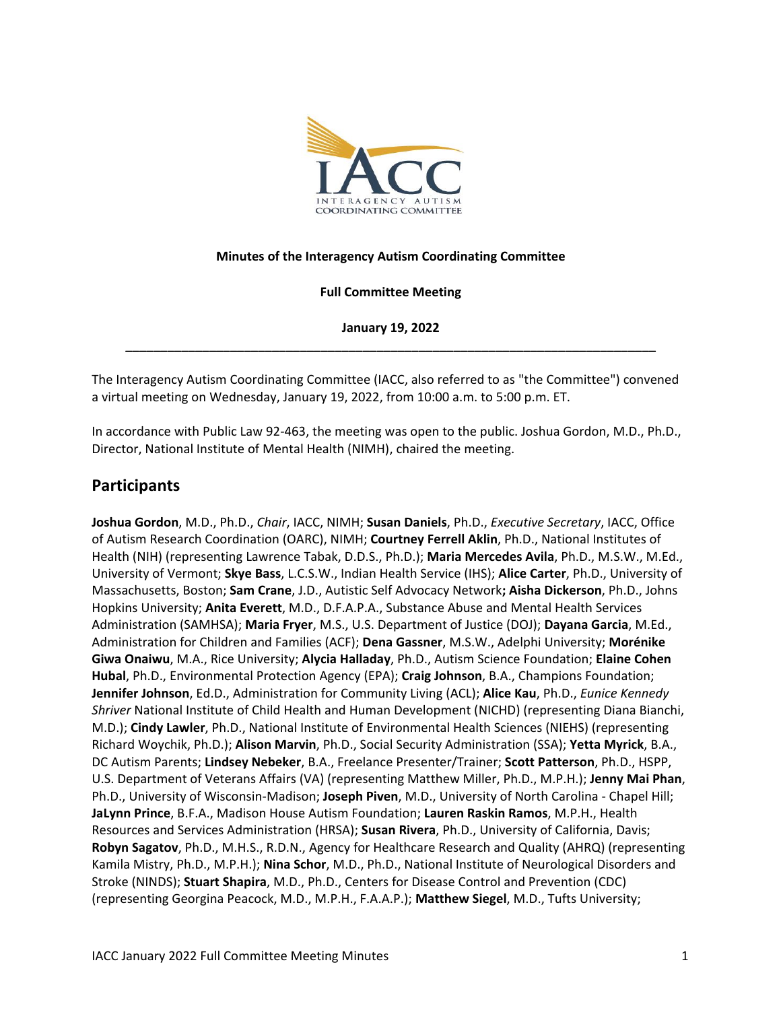

#### **Minutes of the Interagency Autism Coordinating Committee**

**Full Committee Meeting**

**January 19, 2022 \_\_\_\_\_\_\_\_\_\_\_\_\_\_\_\_\_\_\_\_\_\_\_\_\_\_\_\_\_\_\_\_\_\_\_\_\_\_\_\_\_\_\_\_\_\_\_\_\_\_\_\_\_\_\_\_\_\_\_\_\_\_\_\_\_\_\_\_\_\_\_\_\_\_\_\_**

The Interagency Autism Coordinating Committee (IACC, also referred to as "the Committee") convened a virtual meeting on Wednesday, January 19, 2022, from 10:00 a.m. to 5:00 p.m. ET.

In accordance with Public Law 92-463, the meeting was open to the public. Joshua Gordon, M.D., Ph.D., Director, National Institute of Mental Health (NIMH), chaired the meeting.

## **Participants**

**Joshua Gordon**, M.D., Ph.D., *Chair*, IACC, NIMH; **Susan Daniels**, Ph.D., *Executive Secretary*, IACC, Office of Autism Research Coordination (OARC), NIMH; **Courtney Ferrell Aklin**, Ph.D., National Institutes of Health (NIH) (representing Lawrence Tabak, D.D.S., Ph.D.); **Maria Mercedes Avila**, Ph.D., M.S.W., M.Ed., University of Vermont; **Skye Bass**, L.C.S.W., Indian Health Service (IHS); **Alice Carter**, Ph.D., University of Massachusetts, Boston; **Sam Crane**, J.D., Autistic Self Advocacy Network**; Aisha Dickerson**, Ph.D., Johns Hopkins University; **Anita Everett**, M.D., D.F.A.P.A., Substance Abuse and Mental Health Services Administration (SAMHSA); **Maria Fryer**, M.S., U.S. Department of Justice (DOJ); **Dayana Garcia**, M.Ed., Administration for Children and Families (ACF); **Dena Gassner**, M.S.W., Adelphi University; **Morénike Giwa Onaiwu**, M.A., Rice University; **Alycia Halladay**, Ph.D., Autism Science Foundation; **Elaine Cohen Hubal**, Ph.D., Environmental Protection Agency (EPA); **Craig Johnson**, B.A., Champions Foundation; **Jennifer Johnson**, Ed.D., Administration for Community Living (ACL); **Alice Kau**, Ph.D., *Eunice Kennedy Shriver* National Institute of Child Health and Human Development (NICHD) (representing Diana Bianchi, M.D.); **Cindy Lawler**, Ph.D., National Institute of Environmental Health Sciences (NIEHS) (representing Richard Woychik, Ph.D.); **Alison Marvin**, Ph.D., Social Security Administration (SSA); **Yetta Myrick**, B.A., DC Autism Parents; **Lindsey Nebeker**, B.A., Freelance Presenter/Trainer; **Scott Patterson**, Ph.D., HSPP, U.S. Department of Veterans Affairs (VA) (representing Matthew Miller, Ph.D., M.P.H.); **Jenny Mai Phan**, Ph.D., University of Wisconsin-Madison; **Joseph Piven**, M.D., University of North Carolina - Chapel Hill; **JaLynn Prince**, B.F.A., Madison House Autism Foundation; **Lauren Raskin Ramos**, M.P.H., Health Resources and Services Administration (HRSA); **Susan Rivera**, Ph.D., University of California, Davis; **Robyn Sagatov**, Ph.D., M.H.S., R.D.N., Agency for Healthcare Research and Quality (AHRQ) (representing Kamila Mistry, Ph.D., M.P.H.); **Nina Schor**, M.D., Ph.D., National Institute of Neurological Disorders and Stroke (NINDS); **Stuart Shapira**, M.D., Ph.D., Centers for Disease Control and Prevention (CDC) (representing Georgina Peacock, M.D., M.P.H., F.A.A.P.); **Matthew Siegel**, M.D., Tufts University;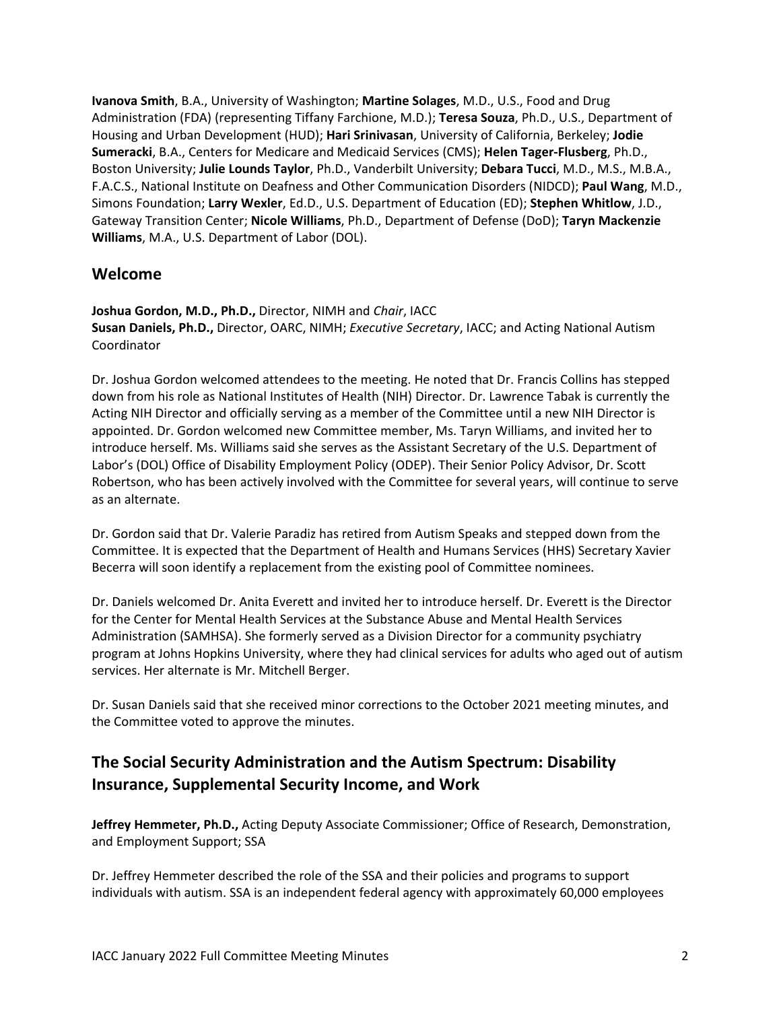**Ivanova Smith**, B.A., University of Washington; **Martine Solages**, M.D., U.S., Food and Drug Administration (FDA) (representing Tiffany Farchione, M.D.); **Teresa Souza**, Ph.D., U.S., Department of Housing and Urban Development (HUD); **Hari Srinivasan**, University of California, Berkeley; **Jodie Sumeracki**, B.A., Centers for Medicare and Medicaid Services (CMS); **Helen Tager-Flusberg**, Ph.D., Boston University; **Julie Lounds Taylor**, Ph.D., Vanderbilt University; **Debara Tucci**, M.D., M.S., M.B.A., F.A.C.S., National Institute on Deafness and Other Communication Disorders (NIDCD); **Paul Wang**, M.D., Simons Foundation; **Larry Wexler**, Ed.D., U.S. Department of Education (ED); **Stephen Whitlow**, J.D., Gateway Transition Center; **Nicole Williams**, Ph.D., Department of Defense (DoD); **Taryn Mackenzie Williams**, M.A., U.S. Department of Labor (DOL).

## **Welcome**

**Joshua Gordon, M.D., Ph.D.,** Director, NIMH and *Chair*, IACC **Susan Daniels, Ph.D.,** Director, OARC, NIMH; *Executive Secretary*, IACC; and Acting National Autism Coordinator

Dr. Joshua Gordon welcomed attendees to the meeting. He noted that Dr. Francis Collins has stepped down from his role as National Institutes of Health (NIH) Director. Dr. Lawrence Tabak is currently the Acting NIH Director and officially serving as a member of the Committee until a new NIH Director is appointed. Dr. Gordon welcomed new Committee member, Ms. Taryn Williams, and invited her to introduce herself. Ms. Williams said she serves as the Assistant Secretary of the U.S. Department of Labor's (DOL) Office of Disability Employment Policy (ODEP). Their Senior Policy Advisor, Dr. Scott Robertson, who has been actively involved with the Committee for several years, will continue to serve as an alternate.

Dr. Gordon said that Dr. Valerie Paradiz has retired from Autism Speaks and stepped down from the Committee. It is expected that the Department of Health and Humans Services (HHS) Secretary Xavier Becerra will soon identify a replacement from the existing pool of Committee nominees.

Dr. Daniels welcomed Dr. Anita Everett and invited her to introduce herself. Dr. Everett is the Director for the Center for Mental Health Services at the Substance Abuse and Mental Health Services Administration (SAMHSA). She formerly served as a Division Director for a community psychiatry program at Johns Hopkins University, where they had clinical services for adults who aged out of autism services. Her alternate is Mr. Mitchell Berger.

Dr. Susan Daniels said that she received minor corrections to the October 2021 meeting minutes, and the Committee voted to approve the minutes.

# **The Social Security Administration and the Autism Spectrum: Disability Insurance, Supplemental Security Income, and Work**

**Jeffrey Hemmeter, Ph.D.,** Acting Deputy Associate Commissioner; Office of Research, Demonstration, and Employment Support; SSA

Dr. Jeffrey Hemmeter described the role of the SSA and their policies and programs to support individuals with autism. SSA is an independent federal agency with approximately 60,000 employees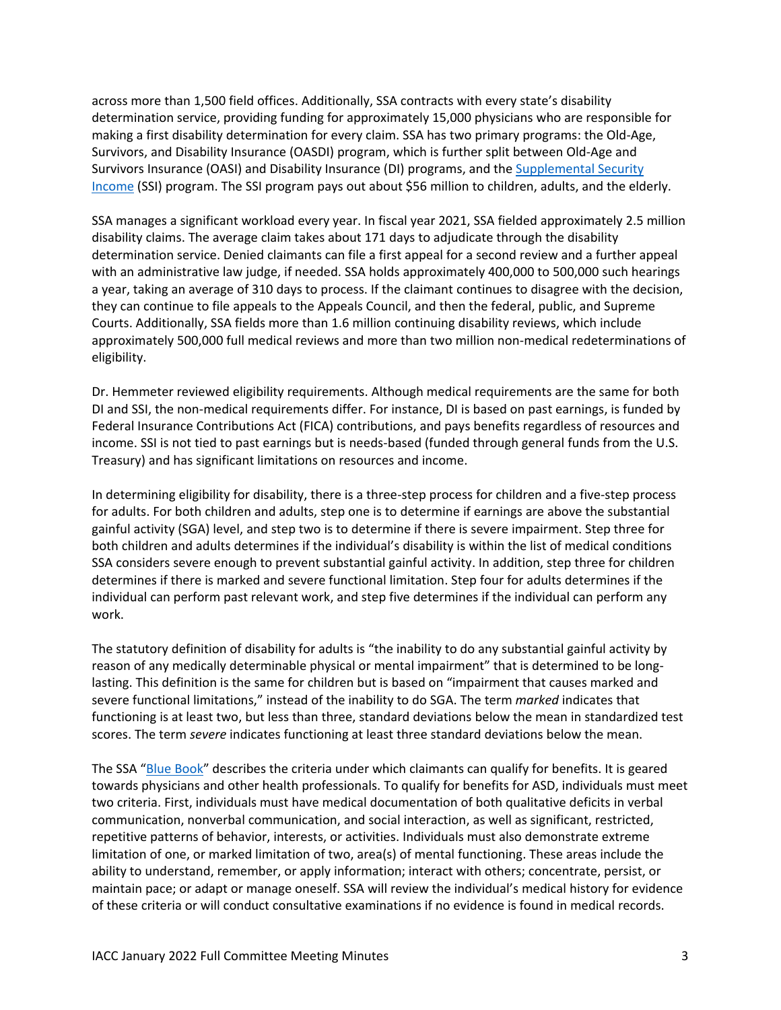across more than 1,500 field offices. Additionally, SSA contracts with every state's disability determination service, providing funding for approximately 15,000 physicians who are responsible for making a first disability determination for every claim. SSA has two primary programs: the Old-Age, Survivors, and Disability Insurance (OASDI) program, which is further split between Old-Age and Survivors Insurance (OASI) and Disability Insurance (DI) programs, and th[e Supplemental Security](https://www.ssa.gov/ssi/)  [Income](https://www.ssa.gov/ssi/) (SSI) program. The SSI program pays out about \$56 million to children, adults, and the elderly.

SSA manages a significant workload every year. In fiscal year 2021, SSA fielded approximately 2.5 million disability claims. The average claim takes about 171 days to adjudicate through the disability determination service. Denied claimants can file a first appeal for a second review and a further appeal with an administrative law judge, if needed. SSA holds approximately 400,000 to 500,000 such hearings a year, taking an average of 310 days to process. If the claimant continues to disagree with the decision, they can continue to file appeals to the Appeals Council, and then the federal, public, and Supreme Courts. Additionally, SSA fields more than 1.6 million continuing disability reviews, which include approximately 500,000 full medical reviews and more than two million non-medical redeterminations of eligibility.

Dr. Hemmeter reviewed eligibility requirements. Although medical requirements are the same for both DI and SSI, the non-medical requirements differ. For instance, DI is based on past earnings, is funded by Federal Insurance Contributions Act (FICA) contributions, and pays benefits regardless of resources and income. SSI is not tied to past earnings but is needs-based (funded through general funds from the U.S. Treasury) and has significant limitations on resources and income.

In determining eligibility for disability, there is a three-step process for children and a five-step process for adults. For both children and adults, step one is to determine if earnings are above the substantial gainful activity (SGA) level, and step two is to determine if there is severe impairment. Step three for both children and adults determines if the individual's disability is within the list of medical conditions SSA considers severe enough to prevent substantial gainful activity. In addition, step three for children determines if there is marked and severe functional limitation. Step four for adults determines if the individual can perform past relevant work, and step five determines if the individual can perform any work.

The statutory definition of disability for adults is "the inability to do any substantial gainful activity by reason of any medically determinable physical or mental impairment" that is determined to be longlasting. This definition is the same for children but is based on "impairment that causes marked and severe functional limitations," instead of the inability to do SGA. The term *marked* indicates that functioning is at least two, but less than three, standard deviations below the mean in standardized test scores. The term *severe* indicates functioning at least three standard deviations below the mean.

The SSA "[Blue Book](https://www.ssa.gov/disability/professionals/bluebook/AdultListings.htm)" describes the criteria under which claimants can qualify for benefits. It is geared towards physicians and other health professionals. To qualify for benefits for ASD, individuals must meet two criteria. First, individuals must have medical documentation of both qualitative deficits in verbal communication, nonverbal communication, and social interaction, as well as significant, restricted, repetitive patterns of behavior, interests, or activities. Individuals must also demonstrate extreme limitation of one, or marked limitation of two, area(s) of mental functioning. These areas include the ability to understand, remember, or apply information; interact with others; concentrate, persist, or maintain pace; or adapt or manage oneself. SSA will review the individual's medical history for evidence of these criteria or will conduct consultative examinations if no evidence is found in medical records.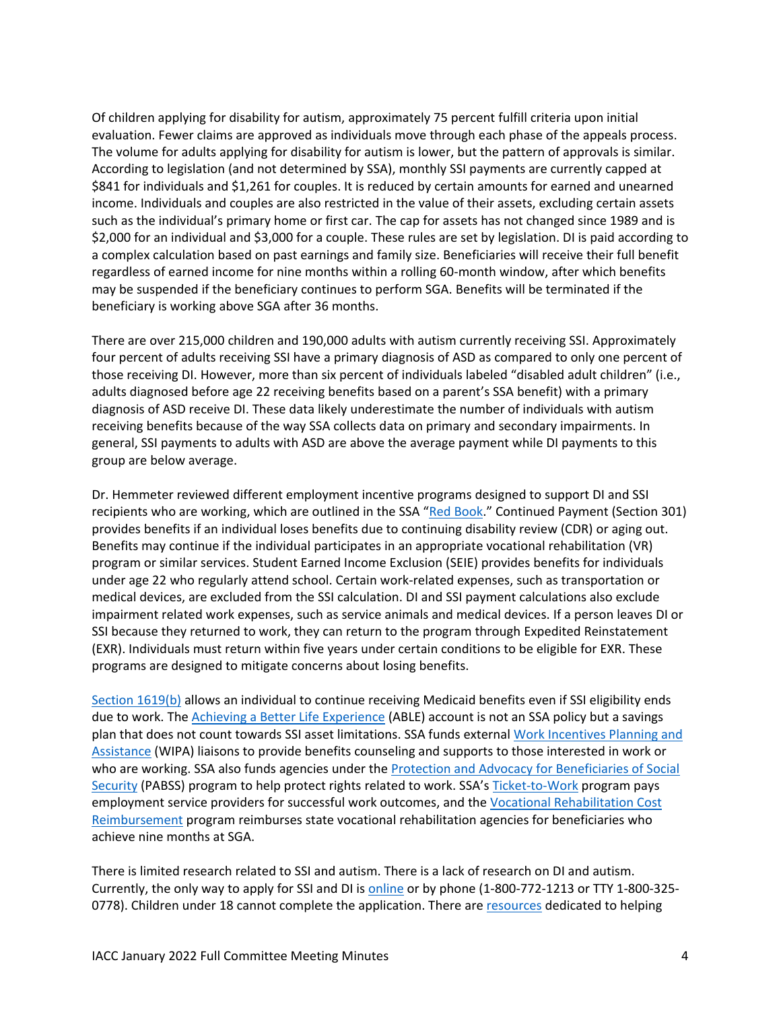Of children applying for disability for autism, approximately 75 percent fulfill criteria upon initial evaluation. Fewer claims are approved as individuals move through each phase of the appeals process. The volume for adults applying for disability for autism is lower, but the pattern of approvals is similar. According to legislation (and not determined by SSA), monthly SSI payments are currently capped at \$841 for individuals and \$1,261 for couples. It is reduced by certain amounts for earned and unearned income. Individuals and couples are also restricted in the value of their assets, excluding certain assets such as the individual's primary home or first car. The cap for assets has not changed since 1989 and is \$2,000 for an individual and \$3,000 for a couple. These rules are set by legislation. DI is paid according to a complex calculation based on past earnings and family size. Beneficiaries will receive their full benefit regardless of earned income for nine months within a rolling 60-month window, after which benefits may be suspended if the beneficiary continues to perform SGA. Benefits will be terminated if the beneficiary is working above SGA after 36 months.

There are over 215,000 children and 190,000 adults with autism currently receiving SSI. Approximately four percent of adults receiving SSI have a primary diagnosis of ASD as compared to only one percent of those receiving DI. However, more than six percent of individuals labeled "disabled adult children" (i.e., adults diagnosed before age 22 receiving benefits based on a parent's SSA benefit) with a primary diagnosis of ASD receive DI. These data likely underestimate the number of individuals with autism receiving benefits because of the way SSA collects data on primary and secondary impairments. In general, SSI payments to adults with ASD are above the average payment while DI payments to this group are below average.

Dr. Hemmeter reviewed different employment incentive programs designed to support DI and SSI recipients who are working, which are outlined in the SSA "[Red Book](https://www.ssa.gov/redbook/)." Continued Payment (Section 301) provides benefits if an individual loses benefits due to continuing disability review (CDR) or aging out. Benefits may continue if the individual participates in an appropriate vocational rehabilitation (VR) program or similar services. Student Earned Income Exclusion (SEIE) provides benefits for individuals under age 22 who regularly attend school. Certain work-related expenses, such as transportation or medical devices, are excluded from the SSI calculation. DI and SSI payment calculations also exclude impairment related work expenses, such as service animals and medical devices. If a person leaves DI or SSI because they returned to work, they can return to the program through Expedited Reinstatement (EXR). Individuals must return within five years under certain conditions to be eligible for EXR. These programs are designed to mitigate concerns about losing benefits.

[Section 1619\(b\)](https://www.ssa.gov/disabilityresearch/wi/1619b.htm) allows an individual to continue receiving Medicaid benefits even if SSI eligibility ends due to work. The [Achieving a Better Life Experience](https://www.ssa.gov/ssi/spotlights/spot-able.html) (ABLE) account is not an SSA policy but a savings plan that does not count towards SSI asset limitations. SSA funds external Work [Incentives Planning and](https://www.ssa.gov/work/WIPA.html) [Assistance](https://www.ssa.gov/work/WIPA.html) (WIPA) liaisons to provide benefits counseling and supports to those interested in work or who are working. SSA also funds agencies under the [Protection and Advocacy for Beneficiaries of Social](https://www.ssa.gov/work/protectionadvocacy.html)  [Security](https://www.ssa.gov/work/protectionadvocacy.html) (PABSS) program to help protect rights related to work. SSA's [Ticket-to-Work](https://www.ssa.gov/work/) program pays employment service providers for successful work outcomes, and the [Vocational Rehabilitation Cost](https://www.ssa.gov/work/vocational_rehab.html)  [Reimbursement](https://www.ssa.gov/work/vocational_rehab.html) program reimburses state vocational rehabilitation agencies for beneficiaries who achieve nine months at SGA.

There is limited research related to SSI and autism. There is a lack of research on DI and autism. Currently, the only way to apply for SSI and DI is [online](https://secure.ssa.gov/iCliam.dib) or by phone (1-800-772-1213 or TTY 1-800-325- 0778). Children under 18 cannot complete the application. There ar[e resources](https://www.ssa.gov/thirdparty/) dedicated to helping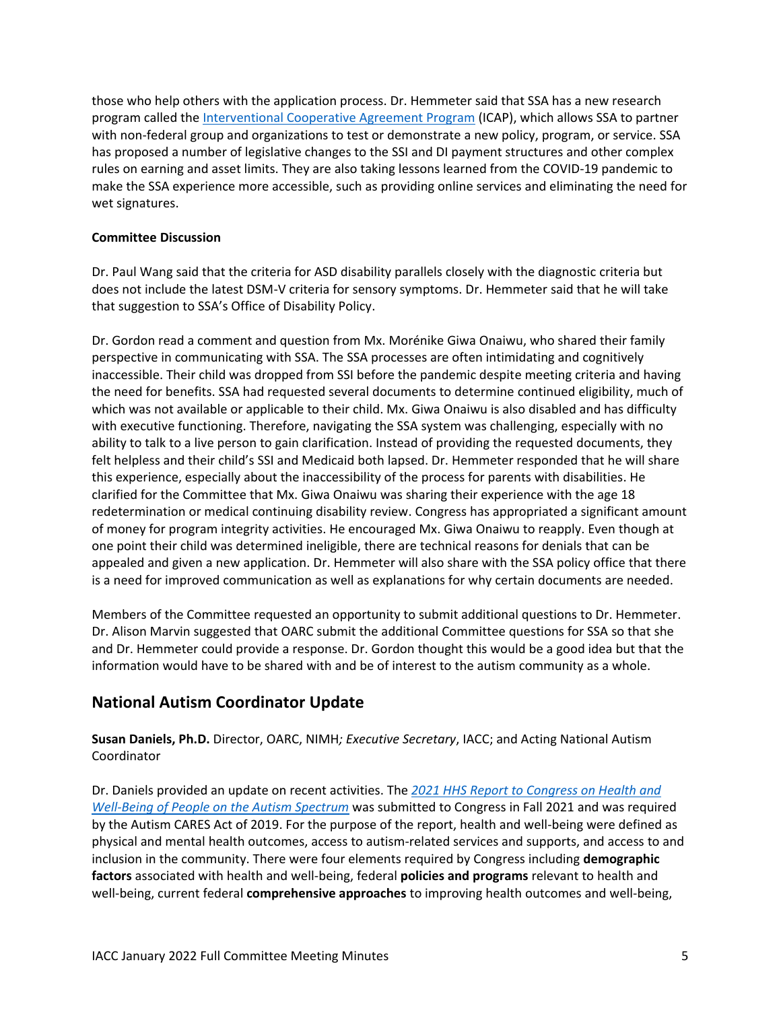those who help others with the application process. Dr. Hemmeter said that SSA has a new research program called the [Interventional Cooperative Agreement Program](https://www.ssa.gov/disabilityresearch/icap.html) (ICAP), which allows SSA to partner with non-federal group and organizations to test or demonstrate a new policy, program, or service. SSA has proposed a number of legislative changes to the SSI and DI payment structures and other complex rules on earning and asset limits. They are also taking lessons learned from the COVID-19 pandemic to make the SSA experience more accessible, such as providing online services and eliminating the need for wet signatures.

### **Committee Discussion**

Dr. Paul Wang said that the criteria for ASD disability parallels closely with the diagnostic criteria but does not include the latest DSM-V criteria for sensory symptoms. Dr. Hemmeter said that he will take that suggestion to SSA's Office of Disability Policy.

Dr. Gordon read a comment and question from Mx. Morénike Giwa Onaiwu, who shared their family perspective in communicating with SSA. The SSA processes are often intimidating and cognitively inaccessible. Their child was dropped from SSI before the pandemic despite meeting criteria and having the need for benefits. SSA had requested several documents to determine continued eligibility, much of which was not available or applicable to their child. Mx. Giwa Onaiwu is also disabled and has difficulty with executive functioning. Therefore, navigating the SSA system was challenging, especially with no ability to talk to a live person to gain clarification. Instead of providing the requested documents, they felt helpless and their child's SSI and Medicaid both lapsed. Dr. Hemmeter responded that he will share this experience, especially about the inaccessibility of the process for parents with disabilities. He clarified for the Committee that Mx. Giwa Onaiwu was sharing their experience with the age 18 redetermination or medical continuing disability review. Congress has appropriated a significant amount of money for program integrity activities. He encouraged Mx. Giwa Onaiwu to reapply. Even though at one point their child was determined ineligible, there are technical reasons for denials that can be appealed and given a new application. Dr. Hemmeter will also share with the SSA policy office that there is a need for improved communication as well as explanations for why certain documents are needed.

Members of the Committee requested an opportunity to submit additional questions to Dr. Hemmeter. Dr. Alison Marvin suggested that OARC submit the additional Committee questions for SSA so that she and Dr. Hemmeter could provide a response. Dr. Gordon thought this would be a good idea but that the information would have to be shared with and be of interest to the autism community as a whole.

# **National Autism Coordinator Update**

**Susan Daniels, Ph.D.** Director, OARC, NIMH*; Executive Secretary*, IACC; and Acting National Autism Coordinator

Dr. Daniels provided an update on recent activities. The *2021 HHS Report to [Congress on Health and](https://iacc.hhs.gov/publications/report-to-congress/2021/report_to_congress_2021.pdf)  Well-Being [of People on the Autism Spectrum](https://iacc.hhs.gov/publications/report-to-congress/2021/report_to_congress_2021.pdf)* was submitted to Congress in Fall 2021 and was required by the Autism CARES Act of 2019. For the purpose of the report, health and well-being were defined as physical and mental health outcomes, access to autism-related services and supports, and access to and inclusion in the community. There were four elements required by Congress including **demographic factors** associated with health and well-being, federal **policies and programs** relevant to health and well-being, current federal **comprehensive approaches** to improving health outcomes and well-being,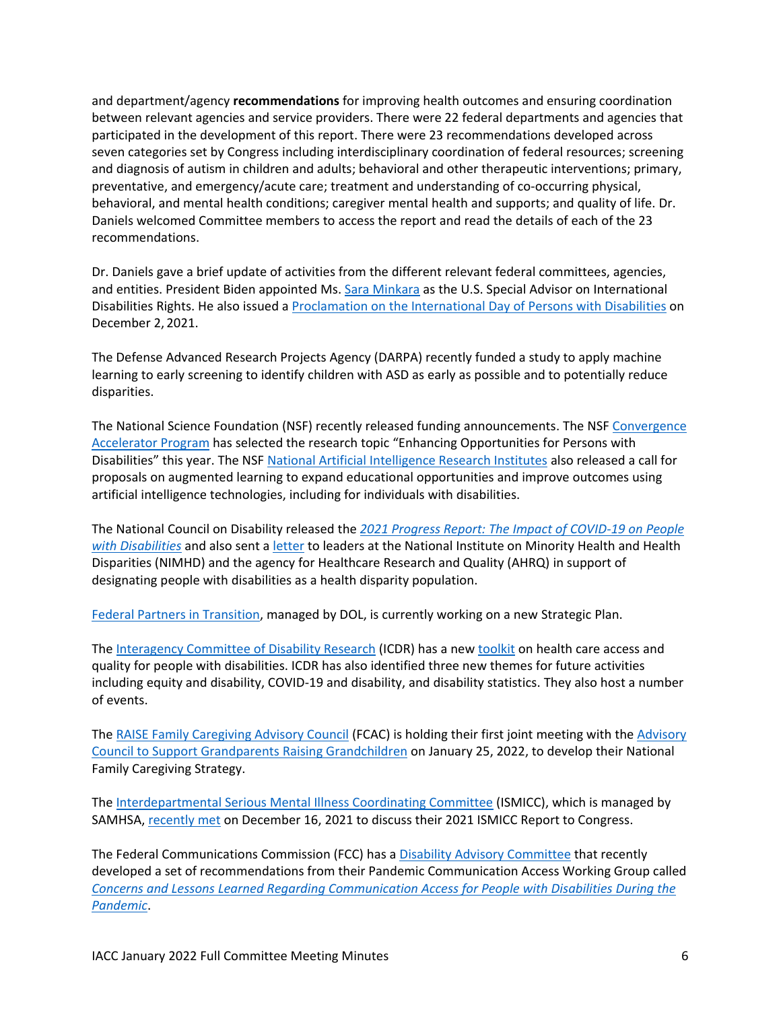and department/agency **recommendations** for improving health outcomes and ensuring coordination between relevant agencies and service providers. There were 22 federal departments and agencies that participated in the development of this report. There were 23 recommendations developed across seven categories set by Congress including interdisciplinary coordination of federal resources; screening and diagnosis of autism in children and adults; behavioral and other therapeutic interventions; primary, preventative, and emergency/acute care; treatment and understanding of co-occurring physical, behavioral, and mental health conditions; caregiver mental health and supports; and quality of life. Dr. Daniels welcomed Committee members to access the report and read the details of each of the 23 recommendations.

Dr. Daniels gave a brief update of activities from the different relevant federal committees, agencies, and entities. President Biden appointed Ms. [Sara Minkara](https://www.state.gov/biographies/sara-minkara/) as the U.S. Special Advisor on International Disabilities Rights. He also issued a [Proclamation on the International Day of Persons with Disabilities](https://www.whitehouse.gov/briefing-room/presidential-actions/2021/12/02/a-proclamation-on-international-day-of-persons-with-disabilities-2021/) on December 2, 2021.

The Defense Advanced Research Projects Agency (DARPA) recently funded a study to apply machine learning to early screening to identify children with ASD as early as possible and to potentially reduce disparities.

The National Science Foundation (NSF) recently released funding announcements. The NSF [Convergence](https://www.nsf.gov/pubs/2022/nsf22036/nsf22036.pdf)  [Accelerator Program](https://www.nsf.gov/pubs/2022/nsf22036/nsf22036.pdf) has selected the research topic "Enhancing Opportunities for Persons with Disabilities" this year. The NS[F National Artificial Intelligence Research Institutes](https://beta.nsf.gov/funding/opportunities/national-artificial-intelligence-research-institutes) also released a call for proposals on augmented learning to expand educational opportunities and improve outcomes using artificial intelligence technologies, including for individuals with disabilities.

The National Council on Disability released the *[2021 Progress Report: The Impact of COVID-19 on People](https://ncd.gov/progressreport/2021/2021-progress-report)  [with Disabilities](https://ncd.gov/progressreport/2021/2021-progress-report)* and also sent a [letter](https://ncd.gov/publications/2021/ncd-letter-nimhd-ahrq-health-disparity-population-designation) to leaders at the National Institute on Minority Health and Health Disparities (NIMHD) and the agency for Healthcare Research and Quality (AHRQ) in support of designating people with disabilities as a health disparity population.

[Federal Partners in Transition,](https://youth.gov/feature-article/federal-partners-transition) managed by DOL, is currently working on a new Strategic Plan.

The [Interagency Committee of Disability Research](https://icdr.acl.gov/) (ICDR) has a new [toolkit](https://icdr.acl.gov/resources/reports/health-care-access-and-quality-people-disabilities-toolkit) on health care access and quality for people with disabilities. ICDR has also identified three new themes for future activities including equity and disability, COVID-19 and disability, and disability statistics. They also host a number of events.

The [RAISE Family Caregiving Advisory Council](https://acl.gov/programs/support-caregivers/raise-family-caregiving-advisory-council) (FCAC) is holding their first joint meeting with the [Advisory](https://acl.gov/programs/support-caregivers/supporting-grandparents-raising-grandchildren-0)  [Council to Support Grandparents Raising Grandchildren](https://acl.gov/programs/support-caregivers/supporting-grandparents-raising-grandchildren-0) on January 25, 2022, to develop their National Family Caregiving Strategy.

The [Interdepartmental Serious Mental Illness Coordinating Committee](https://www.samhsa.gov/about-us/advisory-councils/ismicc) (ISMICC), which is managed by SAMHSA, [recently met](https://www.samhsa.gov/meetings/ismicc-full-committee-meeting-december-2021) on December 16, 2021 to discuss their 2021 ISMICC Report to Congress.

The Federal Communications Commission (FCC) has a [Disability Advisory Committee](https://www.fcc.gov/disability-advisory-committee) that recently developed a set of recommendations from their Pandemic Communication Access Working Group called *[Concerns and Lessons Learned Regarding Communication Access for People with Disabilities During the](https://www.fcc.gov/file/21920/download)  [Pandemic](https://www.fcc.gov/file/21920/download)*.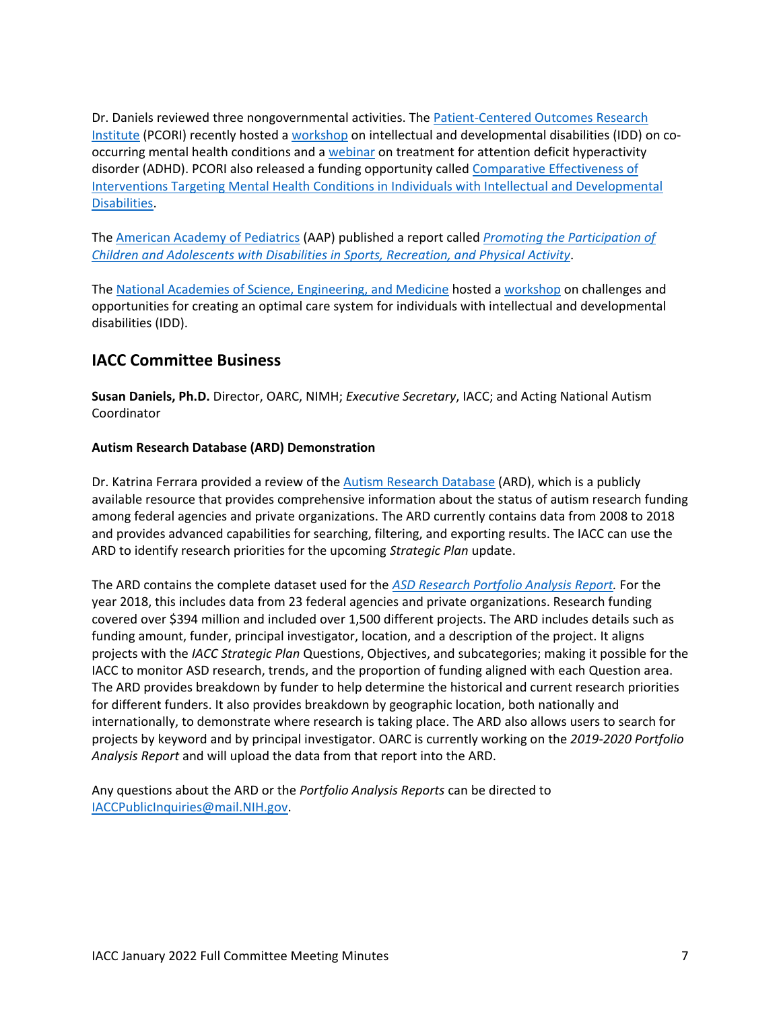Dr. Daniels reviewed three nongovernmental activities. The Patient-Centered Outcomes Research [Institute](https://www.pcori.org/) (PCORI) recently hosted a [workshop](https://www.pcori.org/events/2021/idd-and-co-occurring-mental-health-conditions-virtual-workshop) on intellectual and developmental disabilities (IDD) on cooccurring mental health conditions and [a webinar](https://www.pcori.org/events/2021/pcori-stakeholder-webinar-adhd-children-and-adolescents) on treatment for attention deficit hyperactivity disorder (ADHD). PCORI also released a funding opportunity called [Comparative Effectiveness of](https://www.pcori.org/funding-opportunities/announcement/interventions-targeting-mental-health-conditions-intellectual-developmental-disabilities-cycle-2-2021)  [Interventions Targeting Mental Health Conditions in Individuals with Intellectual and Developmental](https://www.pcori.org/funding-opportunities/announcement/interventions-targeting-mental-health-conditions-intellectual-developmental-disabilities-cycle-2-2021)  [Disabilities.](https://www.pcori.org/funding-opportunities/announcement/interventions-targeting-mental-health-conditions-intellectual-developmental-disabilities-cycle-2-2021)

The [American Academy of Pediatrics](https://www.aap.org/en/news-room/news-releases/aap/2021/american-academy-of-pediatrics-advocates-for-helping-children-with-disabilities-become-more-physically-active/) (AAP) published a report called *[Promoting the Participation of](https://publications.aap.org/pediatrics/article/148/6/e2021054664/183444/Promoting-the-Participation-of-Children-and)  [Children and Adolescents with Disabilities in Sports, Recreation, and Physical Activity](https://publications.aap.org/pediatrics/article/148/6/e2021054664/183444/Promoting-the-Participation-of-Children-and)*.

The National Academies [of Science, Engineering, and Medicine](https://www.nationalacademies.org/about) hosted [a workshop](https://www.nationalacademies.org/our-work/optimizing-care-systems-for-people-with-intellectual-and-developmental-disabilities-a-workshop) on challenges and opportunities for creating an optimal care system for individuals with intellectual and developmental disabilities (IDD).

# **IACC Committee Business**

**Susan Daniels, Ph.D.** Director, OARC, NIMH; *Executive Secretary*, IACC; and Acting National Autism Coordinator

## **Autism Research Database (ARD) Demonstration**

Dr. Katrina Ferrara provided a review of the [Autism Research Database](https://iacc.hhs.gov/funding/data/) (ARD), which is a publicly available resource that provides comprehensive information about the status of autism research funding among federal agencies and private organizations. The ARD currently contains data from 2008 to 2018 and provides advanced capabilities for searching, filtering, and exporting results. The IACC can use the ARD to identify research priorities for the upcoming *Strategic Plan* update.

The ARD contains the complete dataset used for the *[ASD Research Portfolio Analysis Report.](https://iacc.hhs.gov/publications/portfolio-analysis/2018/portfolio_analysis_2018.pdf?ver=4)* For the year 2018, this includes data from 23 federal agencies and private organizations. Research funding covered over \$394 million and included over 1,500 different projects. The ARD includes details such as funding amount, funder, principal investigator, location, and a description of the project. It aligns projects with the *IACC Strategic Plan* Questions, Objectives, and subcategories; making it possible for the IACC to monitor ASD research, trends, and the proportion of funding aligned with each Question area. The ARD provides breakdown by funder to help determine the historical and current research priorities for different funders. It also provides breakdown by geographic location, both nationally and internationally, to demonstrate where research is taking place. The ARD also allows users to search for projects by keyword and by principal investigator. OARC is currently working on the *2019-2020 Portfolio Analysis Report* and will upload the data from that report into the ARD.

Any questions about the ARD or the *Portfolio Analysis Reports* can be directed to [IACCPublicInquiries@mail.NIH.gov.](mailto:IACCPublicInquiries@mail.NIH.gov)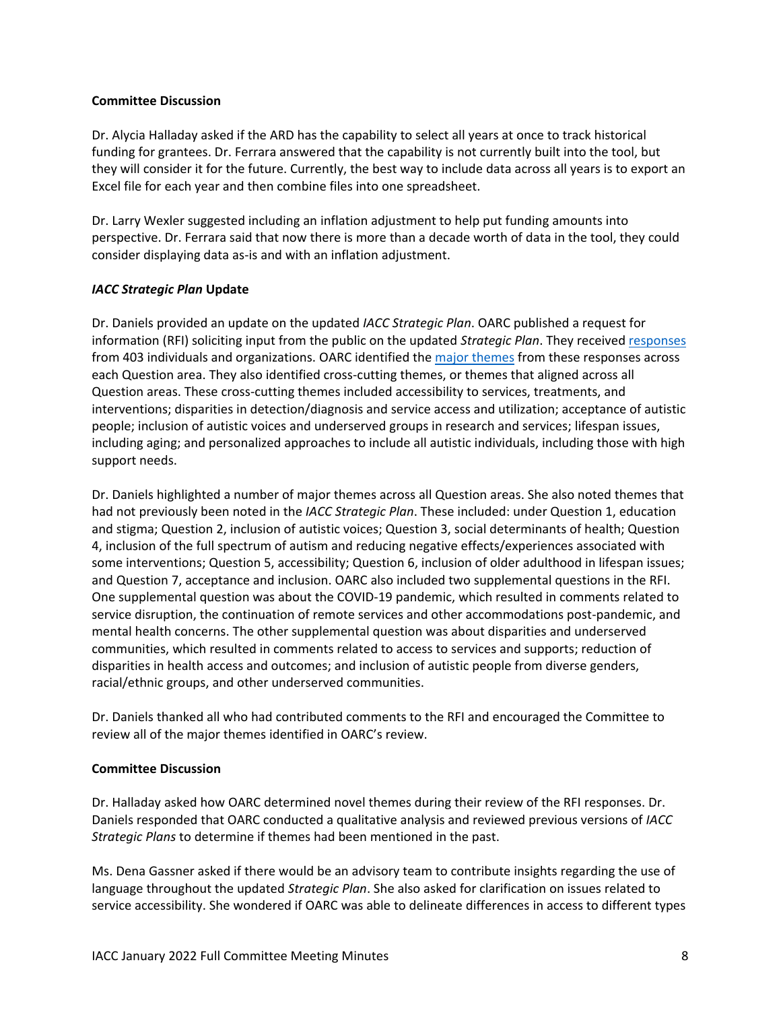#### **Committee Discussion**

Dr. Alycia Halladay asked if the ARD has the capability to select all years at once to track historical funding for grantees. Dr. Ferrara answered that the capability is not currently built into the tool, but they will consider it for the future. Currently, the best way to include data across all years is to export an Excel file for each year and then combine files into one spreadsheet.

Dr. Larry Wexler suggested including an inflation adjustment to help put funding amounts into perspective. Dr. Ferrara said that now there is more than a decade worth of data in the tool, they could consider displaying data as-is and with an inflation adjustment.

### *IACC Strategic Plan* **Update**

Dr. Daniels provided an update on the updated *IACC Strategic Plan*. OARC published a request for information (RFI) soliciting input from the public on the updated *Strategic Plan*. They received [responses](https://iacc.hhs.gov/meetings/public-comments/requests-for-information/2021/) from 403 individuals and organizations. OARC identified the [major themes](https://iacc.hhs.gov/meetings/iacc-meetings/2022/full-committee-meeting/january19/responses_themes.pdf) from these responses across each Question area. They also identified cross-cutting themes, or themes that aligned across all Question areas. These cross-cutting themes included accessibility to services, treatments, and interventions; disparities in detection/diagnosis and service access and utilization; acceptance of autistic people; inclusion of autistic voices and underserved groups in research and services; lifespan issues, including aging; and personalized approaches to include all autistic individuals, including those with high support needs.

Dr. Daniels highlighted a number of major themes across all Question areas. She also noted themes that had not previously been noted in the *IACC Strategic Plan*. These included: under Question 1, education and stigma; Question 2, inclusion of autistic voices; Question 3, social determinants of health; Question 4, inclusion of the full spectrum of autism and reducing negative effects/experiences associated with some interventions; Question 5, accessibility; Question 6, inclusion of older adulthood in lifespan issues; and Question 7, acceptance and inclusion. OARC also included two supplemental questions in the RFI. One supplemental question was about the COVID-19 pandemic, which resulted in comments related to service disruption, the continuation of remote services and other accommodations post-pandemic, and mental health concerns. The other supplemental question was about disparities and underserved communities, which resulted in comments related to access to services and supports; reduction of disparities in health access and outcomes; and inclusion of autistic people from diverse genders, racial/ethnic groups, and other underserved communities.

Dr. Daniels thanked all who had contributed comments to the RFI and encouraged the Committee to review all of the major themes identified in OARC's review.

### **Committee Discussion**

Dr. Halladay asked how OARC determined novel themes during their review of the RFI responses. Dr. Daniels responded that OARC conducted a qualitative analysis and reviewed previous versions of *IACC Strategic Plans* to determine if themes had been mentioned in the past.

Ms. Dena Gassner asked if there would be an advisory team to contribute insights regarding the use of language throughout the updated *Strategic Plan*. She also asked for clarification on issues related to service accessibility. She wondered if OARC was able to delineate differences in access to different types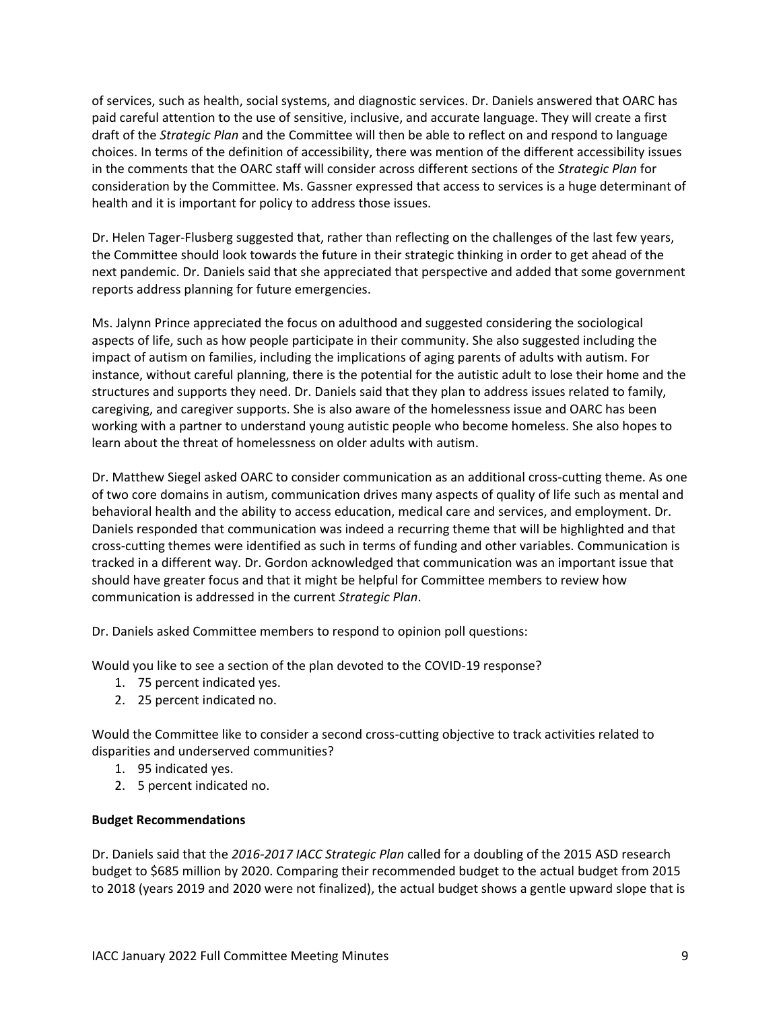of services, such as health, social systems, and diagnostic services. Dr. Daniels answered that OARC has paid careful attention to the use of sensitive, inclusive, and accurate language. They will create a first draft of the *Strategic Plan* and the Committee will then be able to reflect on and respond to language choices. In terms of the definition of accessibility, there was mention of the different accessibility issues in the comments that the OARC staff will consider across different sections of the *Strategic Plan* for consideration by the Committee. Ms. Gassner expressed that access to services is a huge determinant of health and it is important for policy to address those issues.

Dr. Helen Tager-Flusberg suggested that, rather than reflecting on the challenges of the last few years, the Committee should look towards the future in their strategic thinking in order to get ahead of the next pandemic. Dr. Daniels said that she appreciated that perspective and added that some government reports address planning for future emergencies.

Ms. Jalynn Prince appreciated the focus on adulthood and suggested considering the sociological aspects of life, such as how people participate in their community. She also suggested including the impact of autism on families, including the implications of aging parents of adults with autism. For instance, without careful planning, there is the potential for the autistic adult to lose their home and the structures and supports they need. Dr. Daniels said that they plan to address issues related to family, caregiving, and caregiver supports. She is also aware of the homelessness issue and OARC has been working with a partner to understand young autistic people who become homeless. She also hopes to learn about the threat of homelessness on older adults with autism.

Dr. Matthew Siegel asked OARC to consider communication as an additional cross-cutting theme. As one of two core domains in autism, communication drives many aspects of quality of life such as mental and behavioral health and the ability to access education, medical care and services, and employment. Dr. Daniels responded that communication was indeed a recurring theme that will be highlighted and that cross-cutting themes were identified as such in terms of funding and other variables. Communication is tracked in a different way. Dr. Gordon acknowledged that communication was an important issue that should have greater focus and that it might be helpful for Committee members to review how communication is addressed in the current *Strategic Plan*.

Dr. Daniels asked Committee members to respond to opinion poll questions:

Would you like to see a section of the plan devoted to the COVID-19 response?

- 1. 75 percent indicated yes.
- 2. 25 percent indicated no.

Would the Committee like to consider a second cross-cutting objective to track activities related to disparities and underserved communities?

- 1. 95 indicated yes.
- 2. 5 percent indicated no.

### **Budget Recommendations**

Dr. Daniels said that the *2016-2017 IACC Strategic Plan* called for a doubling of the 2015 ASD research budget to \$685 million by 2020. Comparing their recommended budget to the actual budget from 2015 to 2018 (years 2019 and 2020 were not finalized), the actual budget shows a gentle upward slope that is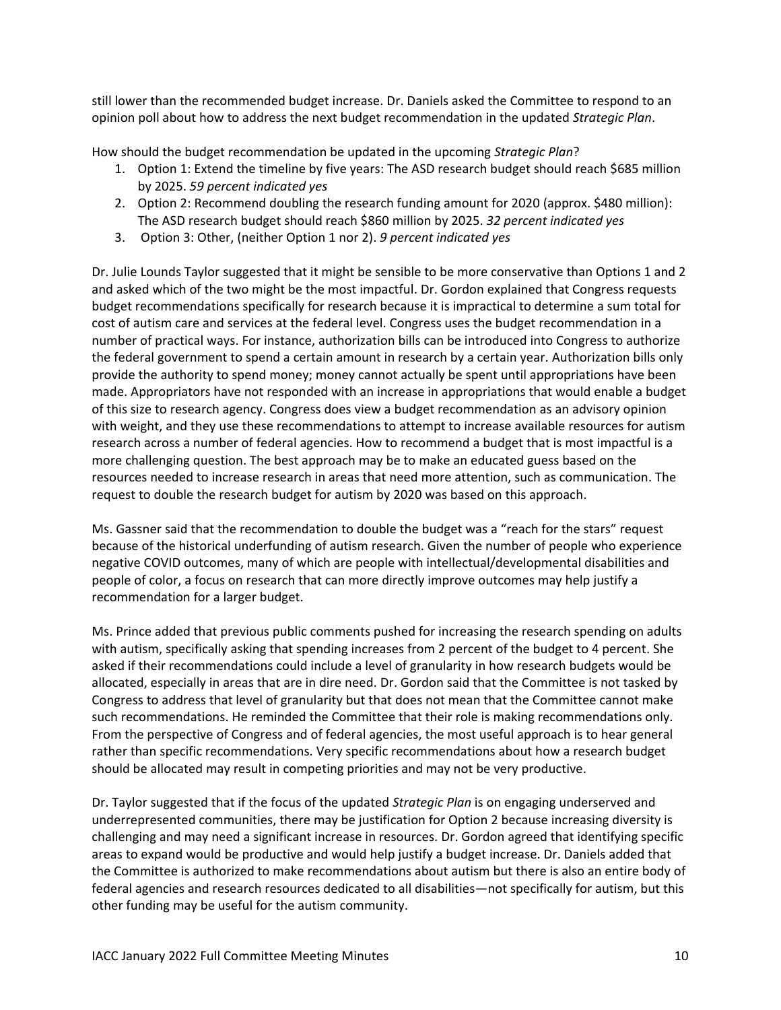still lower than the recommended budget increase. Dr. Daniels asked the Committee to respond to an opinion poll about how to address the next budget recommendation in the updated *Strategic Plan*.

How should the budget recommendation be updated in the upcoming *Strategic Plan*?

- 1. Option 1: Extend the timeline by five years: The ASD research budget should reach \$685 million by 2025. *59 percent indicated yes*
- 2. Option 2: Recommend doubling the research funding amount for 2020 (approx. \$480 million): The ASD research budget should reach \$860 million by 2025. *32 percent indicated yes*
- 3. Option 3: Other, (neither Option 1 nor 2). *9 percent indicated yes*

Dr. Julie Lounds Taylor suggested that it might be sensible to be more conservative than Options 1 and 2 and asked which of the two might be the most impactful. Dr. Gordon explained that Congress requests budget recommendations specifically for research because it is impractical to determine a sum total for cost of autism care and services at the federal level. Congress uses the budget recommendation in a number of practical ways. For instance, authorization bills can be introduced into Congress to authorize the federal government to spend a certain amount in research by a certain year. Authorization bills only provide the authority to spend money; money cannot actually be spent until appropriations have been made. Appropriators have not responded with an increase in appropriations that would enable a budget of this size to research agency. Congress does view a budget recommendation as an advisory opinion with weight, and they use these recommendations to attempt to increase available resources for autism research across a number of federal agencies. How to recommend a budget that is most impactful is a more challenging question. The best approach may be to make an educated guess based on the resources needed to increase research in areas that need more attention, such as communication. The request to double the research budget for autism by 2020 was based on this approach.

Ms. Gassner said that the recommendation to double the budget was a "reach for the stars" request because of the historical underfunding of autism research. Given the number of people who experience negative COVID outcomes, many of which are people with intellectual/developmental disabilities and people of color, a focus on research that can more directly improve outcomes may help justify a recommendation for a larger budget.

Ms. Prince added that previous public comments pushed for increasing the research spending on adults with autism, specifically asking that spending increases from 2 percent of the budget to 4 percent. She asked if their recommendations could include a level of granularity in how research budgets would be allocated, especially in areas that are in dire need. Dr. Gordon said that the Committee is not tasked by Congress to address that level of granularity but that does not mean that the Committee cannot make such recommendations. He reminded the Committee that their role is making recommendations only. From the perspective of Congress and of federal agencies, the most useful approach is to hear general rather than specific recommendations. Very specific recommendations about how a research budget should be allocated may result in competing priorities and may not be very productive.

Dr. Taylor suggested that if the focus of the updated *Strategic Plan* is on engaging underserved and underrepresented communities, there may be justification for Option 2 because increasing diversity is challenging and may need a significant increase in resources. Dr. Gordon agreed that identifying specific areas to expand would be productive and would help justify a budget increase. Dr. Daniels added that the Committee is authorized to make recommendations about autism but there is also an entire body of federal agencies and research resources dedicated to all disabilities—not specifically for autism, but this other funding may be useful for the autism community.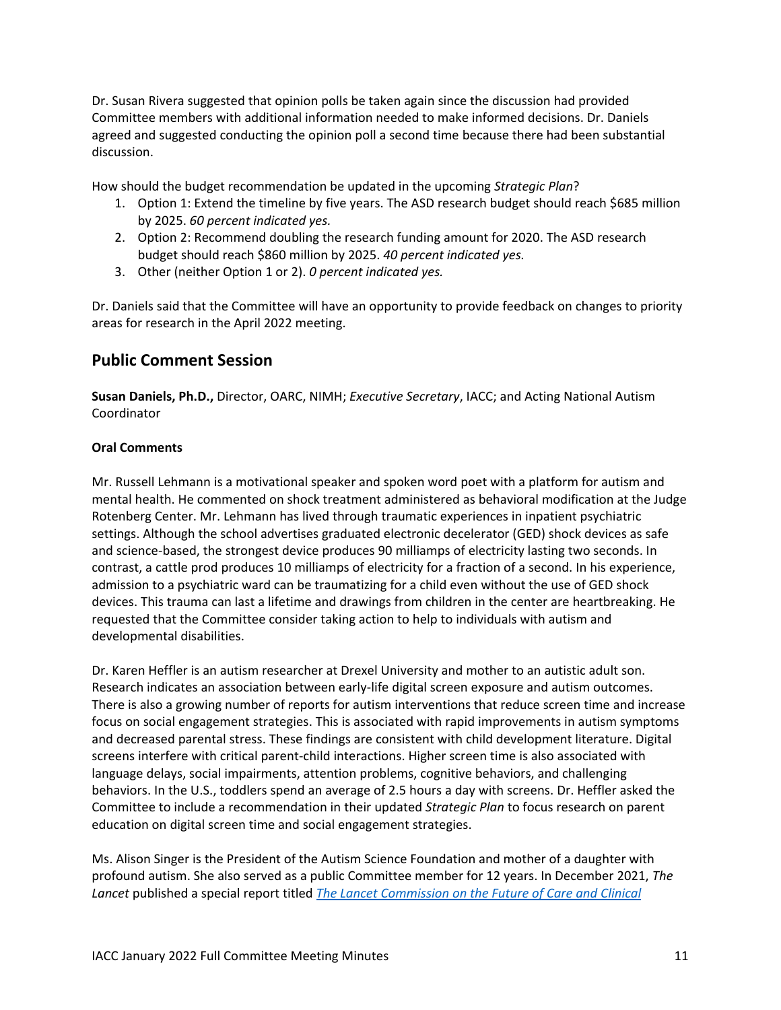Dr. Susan Rivera suggested that opinion polls be taken again since the discussion had provided Committee members with additional information needed to make informed decisions. Dr. Daniels agreed and suggested conducting the opinion poll a second time because there had been substantial discussion.

How should the budget recommendation be updated in the upcoming *Strategic Plan*?

- 1. Option 1: Extend the timeline by five years. The ASD research budget should reach \$685 million by 2025. *60 percent indicated yes.*
- 2. Option 2: Recommend doubling the research funding amount for 2020. The ASD research budget should reach \$860 million by 2025. *40 percent indicated yes.*
- 3. Other (neither Option 1 or 2). *0 percent indicated yes.*

Dr. Daniels said that the Committee will have an opportunity to provide feedback on changes to priority areas for research in the April 2022 meeting.

## **Public Comment Session**

**Susan Daniels, Ph.D.,** Director, OARC, NIMH; *Executive Secretary*, IACC; and Acting National Autism Coordinator

#### **Oral Comments**

Mr. Russell Lehmann is a motivational speaker and spoken word poet with a platform for autism and mental health. He commented on shock treatment administered as behavioral modification at the Judge Rotenberg Center. Mr. Lehmann has lived through traumatic experiences in inpatient psychiatric settings. Although the school advertises graduated electronic decelerator (GED) shock devices as safe and science-based, the strongest device produces 90 milliamps of electricity lasting two seconds. In contrast, a cattle prod produces 10 milliamps of electricity for a fraction of a second. In his experience, admission to a psychiatric ward can be traumatizing for a child even without the use of GED shock devices. This trauma can last a lifetime and drawings from children in the center are heartbreaking. He requested that the Committee consider taking action to help to individuals with autism and developmental disabilities.

Dr. Karen Heffler is an autism researcher at Drexel University and mother to an autistic adult son. Research indicates an association between early-life digital screen exposure and autism outcomes. There is also a growing number of reports for autism interventions that reduce screen time and increase focus on social engagement strategies. This is associated with rapid improvements in autism symptoms and decreased parental stress. These findings are consistent with child development literature. Digital screens interfere with critical parent-child interactions. Higher screen time is also associated with language delays, social impairments, attention problems, cognitive behaviors, and challenging behaviors. In the U.S., toddlers spend an average of 2.5 hours a day with screens. Dr. Heffler asked the Committee to include a recommendation in their updated *Strategic Plan* to focus research on parent education on digital screen time and social engagement strategies.

Ms. Alison Singer is the President of the Autism Science Foundation and mother of a daughter with profound autism. She also served as a public Committee member for 12 years. In December 2021, *The Lancet* published a special report titled *[The Lancet Commission on the Future of Care and Clinical](https://www.thelancet.com/journals/lancet/article/PIIS0140-6736(21)01541-5/fulltext)*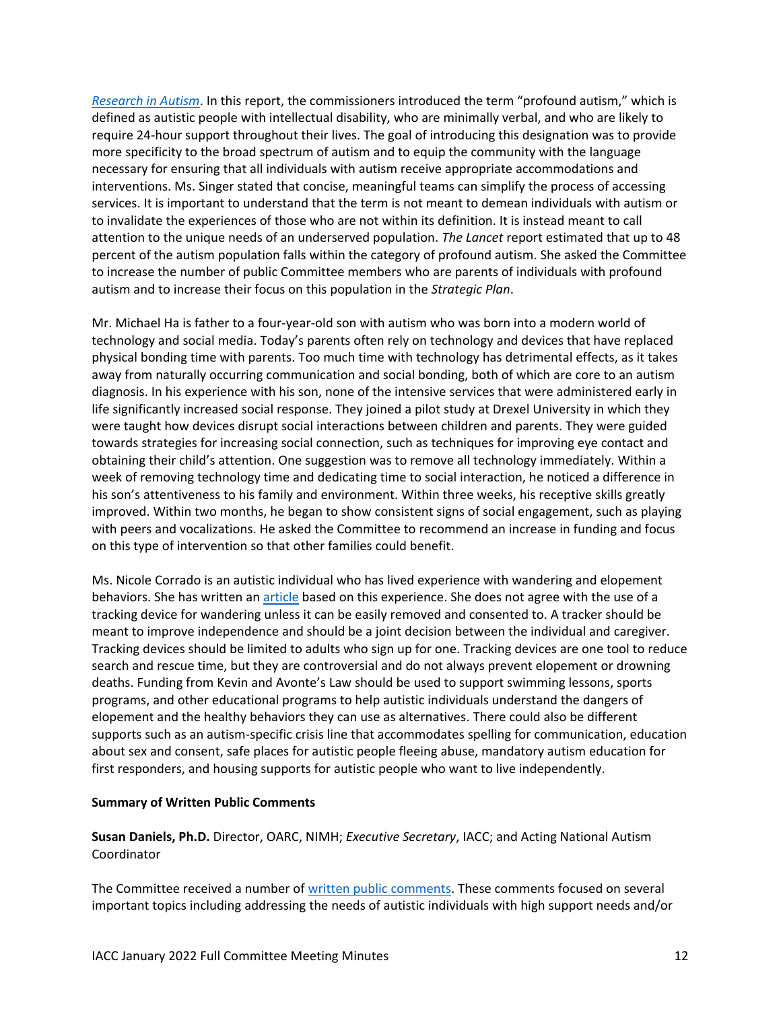*[Research in Autism](https://www.thelancet.com/journals/lancet/article/PIIS0140-6736(21)01541-5/fulltext)*. In this report, the commissioners introduced the term "profound autism," which is defined as autistic people with intellectual disability, who are minimally verbal, and who are likely to require 24-hour support throughout their lives. The goal of introducing this designation was to provide more specificity to the broad spectrum of autism and to equip the community with the language necessary for ensuring that all individuals with autism receive appropriate accommodations and interventions. Ms. Singer stated that concise, meaningful teams can simplify the process of accessing services. It is important to understand that the term is not meant to demean individuals with autism or to invalidate the experiences of those who are not within its definition. It is instead meant to call attention to the unique needs of an underserved population. *The Lancet* report estimated that up to 48 percent of the autism population falls within the category of profound autism. She asked the Committee to increase the number of public Committee members who are parents of individuals with profound autism and to increase their focus on this population in the *Strategic Plan*.

Mr. Michael Ha is father to a four-year-old son with autism who was born into a modern world of technology and social media. Today's parents often rely on technology and devices that have replaced physical bonding time with parents. Too much time with technology has detrimental effects, as it takes away from naturally occurring communication and social bonding, both of which are core to an autism diagnosis. In his experience with his son, none of the intensive services that were administered early in life significantly increased social response. They joined a pilot study at Drexel University in which they were taught how devices disrupt social interactions between children and parents. They were guided towards strategies for increasing social connection, such as techniques for improving eye contact and obtaining their child's attention. One suggestion was to remove all technology immediately. Within a week of removing technology time and dedicating time to social interaction, he noticed a difference in his son's attentiveness to his family and environment. Within three weeks, his receptive skills greatly improved. Within two months, he began to show consistent signs of social engagement, such as playing with peers and vocalizations. He asked the Committee to recommend an increase in funding and focus on this type of intervention so that other families could benefit.

Ms. Nicole Corrado is an autistic individual who has lived experience with wandering and elopement behaviors. She has written an [article](https://nicolecorradoart.wordpress.com/2019/01/29/how-to-report-missing-persons-with-neurological-differences-respectfully/) based on this experience. She does not agree with the use of a tracking device for wandering unless it can be easily removed and consented to. A tracker should be meant to improve independence and should be a joint decision between the individual and caregiver. Tracking devices should be limited to adults who sign up for one. Tracking devices are one tool to reduce search and rescue time, but they are controversial and do not always prevent elopement or drowning deaths. Funding from Kevin and Avonte's Law should be used to support swimming lessons, sports programs, and other educational programs to help autistic individuals understand the dangers of elopement and the healthy behaviors they can use as alternatives. There could also be different supports such as an autism-specific crisis line that accommodates spelling for communication, education about sex and consent, safe places for autistic people fleeing abuse, mandatory autism education for first responders, and housing supports for autistic people who want to live independently.

#### **Summary of Written Public Comments**

**Susan Daniels, Ph.D.** Director, OARC, NIMH; *Executive Secretary*, IACC; and Acting National Autism Coordinator

The Committee received a number o[f written public comments.](https://iacc.hhs.gov/meetings/iacc-meetings/2022/full-committee-meeting/january19/public_comments.pdf) These comments focused on several important topics including addressing the needs of autistic individuals with high support needs and/or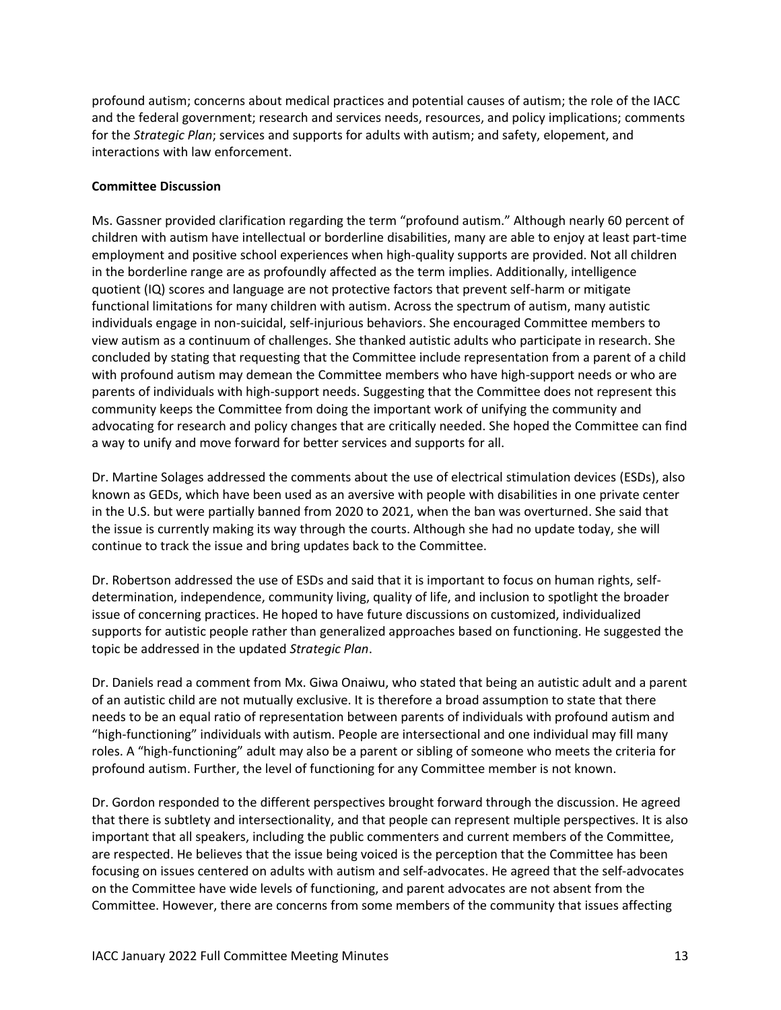profound autism; concerns about medical practices and potential causes of autism; the role of the IACC and the federal government; research and services needs, resources, and policy implications; comments for the *Strategic Plan*; services and supports for adults with autism; and safety, elopement, and interactions with law enforcement.

### **Committee Discussion**

Ms. Gassner provided clarification regarding the term "profound autism." Although nearly 60 percent of children with autism have intellectual or borderline disabilities, many are able to enjoy at least part-time employment and positive school experiences when high-quality supports are provided. Not all children in the borderline range are as profoundly affected as the term implies. Additionally, intelligence quotient (IQ) scores and language are not protective factors that prevent self-harm or mitigate functional limitations for many children with autism. Across the spectrum of autism, many autistic individuals engage in non-suicidal, self-injurious behaviors. She encouraged Committee members to view autism as a continuum of challenges. She thanked autistic adults who participate in research. She concluded by stating that requesting that the Committee include representation from a parent of a child with profound autism may demean the Committee members who have high-support needs or who are parents of individuals with high-support needs. Suggesting that the Committee does not represent this community keeps the Committee from doing the important work of unifying the community and advocating for research and policy changes that are critically needed. She hoped the Committee can find a way to unify and move forward for better services and supports for all.

Dr. Martine Solages addressed the comments about the use of electrical stimulation devices (ESDs), also known as GEDs, which have been used as an aversive with people with disabilities in one private center in the U.S. but were partially banned from 2020 to 2021, when the ban was overturned. She said that the issue is currently making its way through the courts. Although she had no update today, she will continue to track the issue and bring updates back to the Committee.

Dr. Robertson addressed the use of ESDs and said that it is important to focus on human rights, selfdetermination, independence, community living, quality of life, and inclusion to spotlight the broader issue of concerning practices. He hoped to have future discussions on customized, individualized supports for autistic people rather than generalized approaches based on functioning. He suggested the topic be addressed in the updated *Strategic Plan*.

Dr. Daniels read a comment from Mx. Giwa Onaiwu, who stated that being an autistic adult and a parent of an autistic child are not mutually exclusive. It is therefore a broad assumption to state that there needs to be an equal ratio of representation between parents of individuals with profound autism and "high-functioning" individuals with autism. People are intersectional and one individual may fill many roles. A "high-functioning" adult may also be a parent or sibling of someone who meets the criteria for profound autism. Further, the level of functioning for any Committee member is not known.

Dr. Gordon responded to the different perspectives brought forward through the discussion. He agreed that there is subtlety and intersectionality, and that people can represent multiple perspectives. It is also important that all speakers, including the public commenters and current members of the Committee, are respected. He believes that the issue being voiced is the perception that the Committee has been focusing on issues centered on adults with autism and self-advocates. He agreed that the self-advocates on the Committee have wide levels of functioning, and parent advocates are not absent from the Committee. However, there are concerns from some members of the community that issues affecting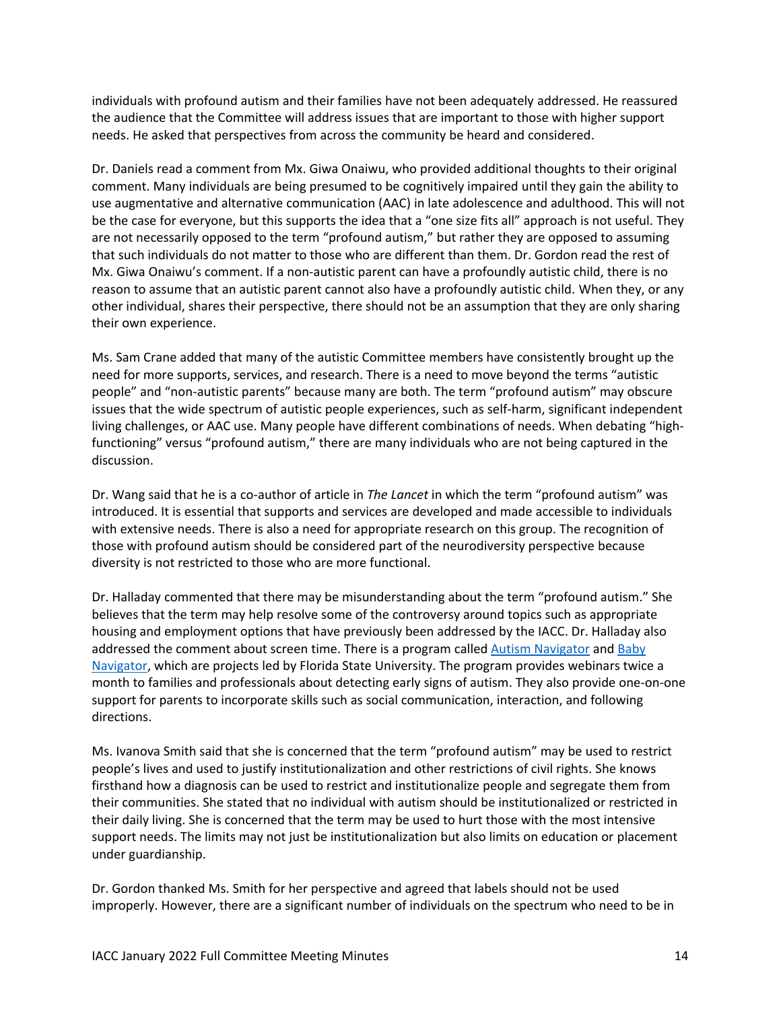individuals with profound autism and their families have not been adequately addressed. He reassured the audience that the Committee will address issues that are important to those with higher support needs. He asked that perspectives from across the community be heard and considered.

Dr. Daniels read a comment from Mx. Giwa Onaiwu, who provided additional thoughts to their original comment. Many individuals are being presumed to be cognitively impaired until they gain the ability to use augmentative and alternative communication (AAC) in late adolescence and adulthood. This will not be the case for everyone, but this supports the idea that a "one size fits all" approach is not useful. They are not necessarily opposed to the term "profound autism," but rather they are opposed to assuming that such individuals do not matter to those who are different than them. Dr. Gordon read the rest of Mx. Giwa Onaiwu's comment. If a non-autistic parent can have a profoundly autistic child, there is no reason to assume that an autistic parent cannot also have a profoundly autistic child. When they, or any other individual, shares their perspective, there should not be an assumption that they are only sharing their own experience.

Ms. Sam Crane added that many of the autistic Committee members have consistently brought up the need for more supports, services, and research. There is a need to move beyond the terms "autistic people" and "non-autistic parents" because many are both. The term "profound autism" may obscure issues that the wide spectrum of autistic people experiences, such as self-harm, significant independent living challenges, or AAC use. Many people have different combinations of needs. When debating "highfunctioning" versus "profound autism," there are many individuals who are not being captured in the discussion.

Dr. Wang said that he is a co-author of article in *The Lancet* in which the term "profound autism" was introduced. It is essential that supports and services are developed and made accessible to individuals with extensive needs. There is also a need for appropriate research on this group. The recognition of those with profound autism should be considered part of the neurodiversity perspective because diversity is not restricted to those who are more functional.

Dr. Halladay commented that there may be misunderstanding about the term "profound autism." She believes that the term may help resolve some of the controversy around topics such as appropriate housing and employment options that have previously been addressed by the IACC. Dr. Halladay also addressed the comment about screen time. There is a program called [Autism Navigator](https://autismnavigator.com/) and [Baby](https://babynavigator.com/)  [Navigator,](https://babynavigator.com/) which are projects led by Florida State University. The program provides webinars twice a month to families and professionals about detecting early signs of autism. They also provide one-on-one support for parents to incorporate skills such as social communication, interaction, and following directions.

Ms. Ivanova Smith said that she is concerned that the term "profound autism" may be used to restrict people's lives and used to justify institutionalization and other restrictions of civil rights. She knows firsthand how a diagnosis can be used to restrict and institutionalize people and segregate them from their communities. She stated that no individual with autism should be institutionalized or restricted in their daily living. She is concerned that the term may be used to hurt those with the most intensive support needs. The limits may not just be institutionalization but also limits on education or placement under guardianship.

Dr. Gordon thanked Ms. Smith for her perspective and agreed that labels should not be used improperly. However, there are a significant number of individuals on the spectrum who need to be in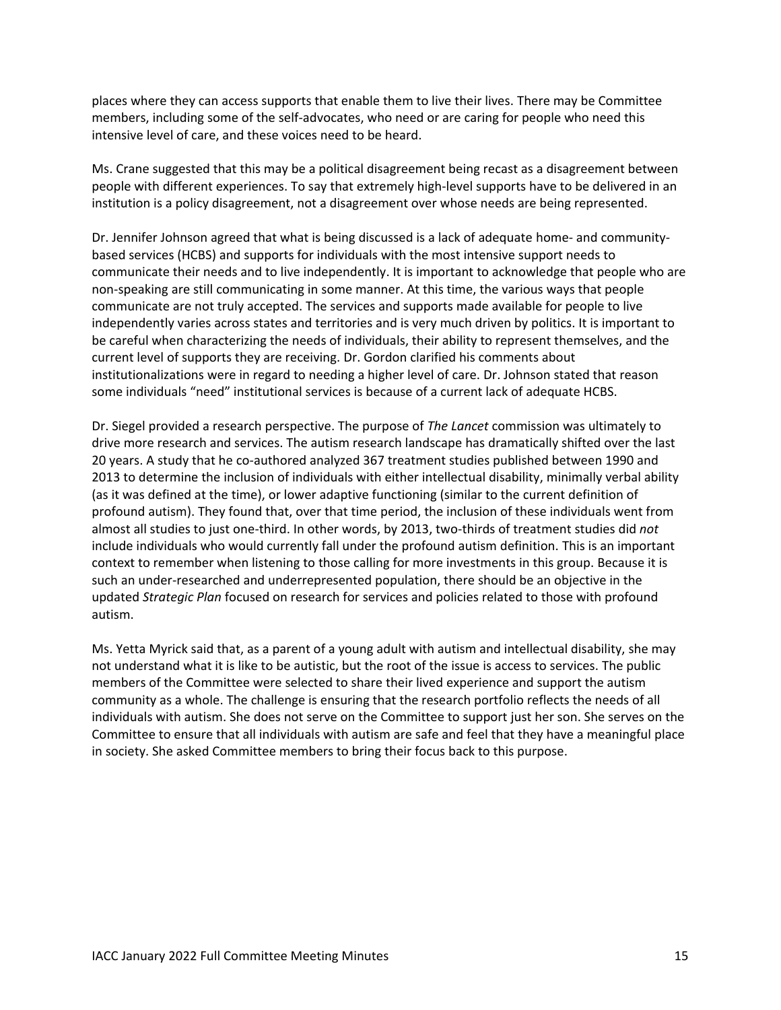places where they can access supports that enable them to live their lives. There may be Committee members, including some of the self-advocates, who need or are caring for people who need this intensive level of care, and these voices need to be heard.

Ms. Crane suggested that this may be a political disagreement being recast as a disagreement between people with different experiences. To say that extremely high-level supports have to be delivered in an institution is a policy disagreement, not a disagreement over whose needs are being represented.

Dr. Jennifer Johnson agreed that what is being discussed is a lack of adequate home- and communitybased services (HCBS) and supports for individuals with the most intensive support needs to communicate their needs and to live independently. It is important to acknowledge that people who are non-speaking are still communicating in some manner. At this time, the various ways that people communicate are not truly accepted. The services and supports made available for people to live independently varies across states and territories and is very much driven by politics. It is important to be careful when characterizing the needs of individuals, their ability to represent themselves, and the current level of supports they are receiving. Dr. Gordon clarified his comments about institutionalizations were in regard to needing a higher level of care. Dr. Johnson stated that reason some individuals "need" institutional services is because of a current lack of adequate HCBS.

Dr. Siegel provided a research perspective. The purpose of *The Lancet* commission was ultimately to drive more research and services. The autism research landscape has dramatically shifted over the last 20 years. A study that he co-authored analyzed 367 treatment studies published between 1990 and 2013 to determine the inclusion of individuals with either intellectual disability, minimally verbal ability (as it was defined at the time), or lower adaptive functioning (similar to the current definition of profound autism). They found that, over that time period, the inclusion of these individuals went from almost all studies to just one-third. In other words, by 2013, two-thirds of treatment studies did *not* include individuals who would currently fall under the profound autism definition. This is an important context to remember when listening to those calling for more investments in this group. Because it is such an under-researched and underrepresented population, there should be an objective in the updated *Strategic Plan* focused on research for services and policies related to those with profound autism.

Ms. Yetta Myrick said that, as a parent of a young adult with autism and intellectual disability, she may not understand what it is like to be autistic, but the root of the issue is access to services. The public members of the Committee were selected to share their lived experience and support the autism community as a whole. The challenge is ensuring that the research portfolio reflects the needs of all individuals with autism. She does not serve on the Committee to support just her son. She serves on the Committee to ensure that all individuals with autism are safe and feel that they have a meaningful place in society. She asked Committee members to bring their focus back to this purpose.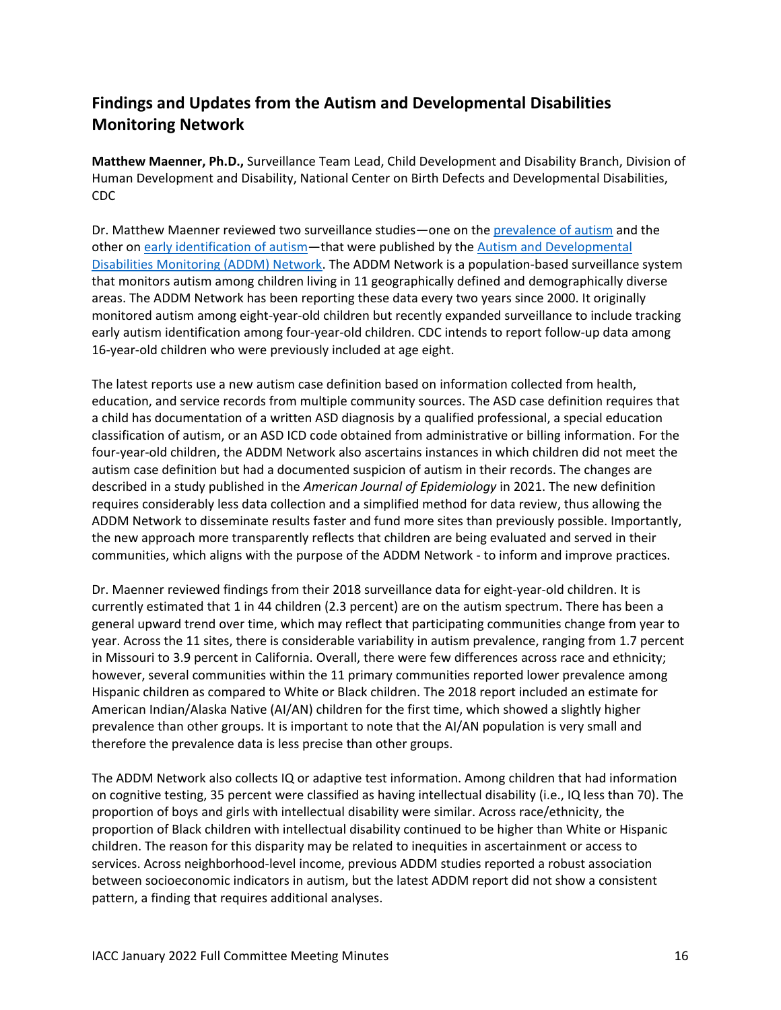# **Findings and Updates from the Autism and Developmental Disabilities Monitoring Network**

**Matthew Maenner, Ph.D.,** Surveillance Team Lead, Child Development and Disability Branch, Division of Human Development and Disability, National Center on Birth Defects and Developmental Disabilities, CDC

Dr. Matthew Maenner reviewed two surveillance studies—one on the [prevalence of autism](https://www.cdc.gov/mmwr/volumes/70/ss/ss7011a1.htm) and the other on [early identification](https://www.cdc.gov/mmwr/volumes/70/ss/ss7010a1.htm) of autism—that were published by the [Autism and Developmental](https://www.cdc.gov/ncbddd/autism/addm.html)  [Disabilities Monitoring \(ADDM\) Network.](https://www.cdc.gov/ncbddd/autism/addm.html) The ADDM Network is a population-based surveillance system that monitors autism among children living in 11 geographically defined and demographically diverse areas. The ADDM Network has been reporting these data every two years since 2000. It originally monitored autism among eight-year-old children but recently expanded surveillance to include tracking early autism identification among four-year-old children. CDC intends to report follow-up data among 16-year-old children who were previously included at age eight.

The latest reports use a new autism case definition based on information collected from health, education, and service records from multiple community sources. The ASD case definition requires that a child has documentation of a written ASD diagnosis by a qualified professional, a special education classification of autism, or an ASD ICD code obtained from administrative or billing information. For the four-year-old children, the ADDM Network also ascertains instances in which children did not meet the autism case definition but had a documented suspicion of autism in their records. The changes are described in [a study](https://pubmed.ncbi.nlm.nih.gov/33847734/) published in the *American Journal of Epidemiology* in 2021. The new definition requires considerably less data collection and a simplified method for data review, thus allowing the ADDM Network to disseminate results faster and fund more sites than previously possible. Importantly, the new approach more transparently reflects that children are being evaluated and served in their communities, which aligns with the purpose of the ADDM Network - to inform and improve practices.

Dr. Maenner reviewed findings from their 2018 surveillance data for eight-year-old children. It is currently estimated that 1 in 44 children (2.3 percent) are on the autism spectrum. There has been a general upward trend over time, which may reflect that participating communities change from year to year. Across the 11 sites, there is considerable variability in autism prevalence, ranging from 1.7 percent in Missouri to 3.9 percent in California. Overall, there were few differences across race and ethnicity; however, several communities within the 11 primary communities reported lower prevalence among Hispanic children as compared to White or Black children. The 2018 report included an estimate for American Indian/Alaska Native (AI/AN) children for the first time, which showed a slightly higher prevalence than other groups. It is important to note that the AI/AN population is very small and therefore the prevalence data is less precise than other groups.

The ADDM Network also collects IQ or adaptive test information. Among children that had information on cognitive testing, 35 percent were classified as having intellectual disability (i.e., IQ less than 70). The proportion of boys and girls with intellectual disability were similar. Across race/ethnicity, the proportion of Black children with intellectual disability continued to be higher than White or Hispanic children. The reason for this disparity may be related to inequities in ascertainment or access to services. Across neighborhood-level income, previous ADDM studies reported a robust association between socioeconomic indicators in autism, but the latest ADDM report did not show a consistent pattern, a finding that requires additional analyses.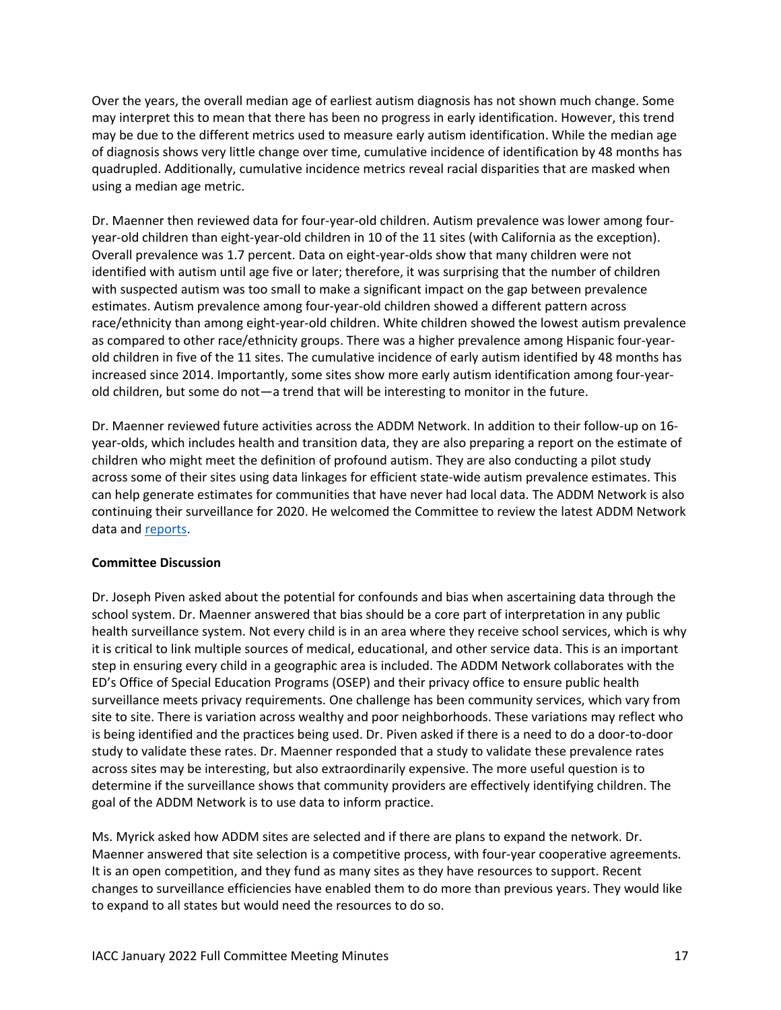Over the years, the overall median age of earliest autism diagnosis has not shown much change. Some may interpret this to mean that there has been no progress in early identification. However, this trend may be due to the different metrics used to measure early autism identification. While the median age of diagnosis shows very little change over time, cumulative incidence of identification by 48 months has quadrupled. Additionally, cumulative incidence metrics reveal racial disparities that are masked when using a median age metric.

Dr. Maenner then reviewed data for four-year-old children. Autism prevalence was lower among fouryear-old children than eight-year-old children in 10 of the 11 sites (with California as the exception). Overall prevalence was 1.7 percent. Data on eight-year-olds show that many children were not identified with autism until age five or later; therefore, it was surprising that the number of children with suspected autism was too small to make a significant impact on the gap between prevalence estimates. Autism prevalence among four-year-old children showed a different pattern across race/ethnicity than among eight-year-old children. White children showed the lowest autism prevalence as compared to other race/ethnicity groups. There was a higher prevalence among Hispanic four-yearold children in five of the 11 sites. The cumulative incidence of early autism identified by 48 months has increased since 2014. Importantly, some sites show more early autism identification among four-yearold children, but some do not—a trend that will be interesting to monitor in the future.

Dr. Maenner reviewed future activities across the ADDM Network. In addition to their follow-up on 16 year-olds, which includes health and transition data, they are also preparing a report on the estimate of children who might meet the definition of profound autism. They are also conducting a pilot study across some of their sites using data linkages for efficient state-wide autism prevalence estimates. This can help generate estimates for communities that have never had local data. The ADDM Network is also continuing their surveillance for 2020. He welcomed the Committee to review the latest ADDM Network data and [reports.](https://www.cdc.gov/ncbddd/autism/addm-community-report/index.html)

### **Committee Discussion**

Dr. Joseph Piven asked about the potential for confounds and bias when ascertaining data through the school system. Dr. Maenner answered that bias should be a core part of interpretation in any public health surveillance system. Not every child is in an area where they receive school services, which is why it is critical to link multiple sources of medical, educational, and other service data. This is an important step in ensuring every child in a geographic area is included. The ADDM Network collaborates with the ED's Office of Special Education Programs (OSEP) and their privacy office to ensure public health surveillance meets privacy requirements. One challenge has been community services, which vary from site to site. There is variation across wealthy and poor neighborhoods. These variations may reflect who is being identified and the practices being used. Dr. Piven asked if there is a need to do a door-to-door study to validate these rates. Dr. Maenner responded that a study to validate these prevalence rates across sites may be interesting, but also extraordinarily expensive. The more useful question is to determine if the surveillance shows that community providers are effectively identifying children. The goal of the ADDM Network is to use data to inform practice.

Ms. Myrick asked how ADDM sites are selected and if there are plans to expand the network. Dr. Maenner answered that site selection is a competitive process, with four-year cooperative agreements. It is an open competition, and they fund as many sites as they have resources to support. Recent changes to surveillance efficiencies have enabled them to do more than previous years. They would like to expand to all states but would need the resources to do so.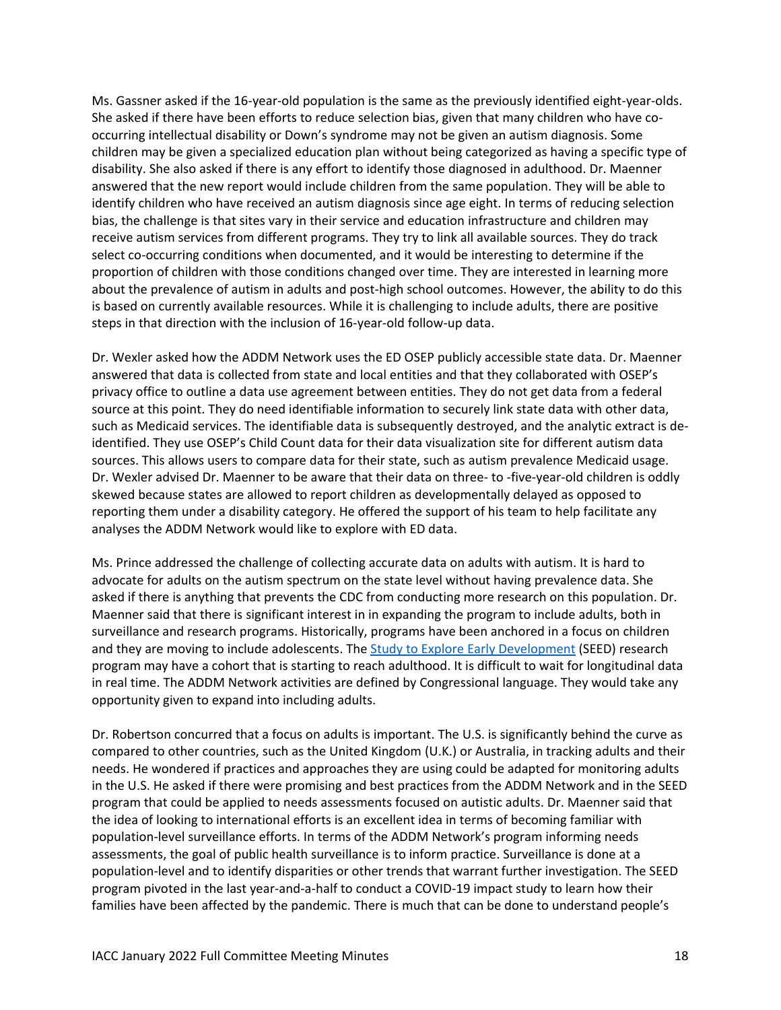Ms. Gassner asked if the 16-year-old population is the same as the previously identified eight-year-olds. She asked if there have been efforts to reduce selection bias, given that many children who have cooccurring intellectual disability or Down's syndrome may not be given an autism diagnosis. Some children may be given a specialized education plan without being categorized as having a specific type of disability. She also asked if there is any effort to identify those diagnosed in adulthood. Dr. Maenner answered that the new report would include children from the same population. They will be able to identify children who have received an autism diagnosis since age eight. In terms of reducing selection bias, the challenge is that sites vary in their service and education infrastructure and children may receive autism services from different programs. They try to link all available sources. They do track select co-occurring conditions when documented, and it would be interesting to determine if the proportion of children with those conditions changed over time. They are interested in learning more about the prevalence of autism in adults and post-high school outcomes. However, the ability to do this is based on currently available resources. While it is challenging to include adults, there are positive steps in that direction with the inclusion of 16-year-old follow-up data.

Dr. Wexler asked how the ADDM Network uses the ED OSEP publicly accessible state data. Dr. Maenner answered that data is collected from state and local entities and that they collaborated with OSEP's privacy office to outline a data use agreement between entities. They do not get data from a federal source at this point. They do need identifiable information to securely link state data with other data, such as Medicaid services. The identifiable data is subsequently destroyed, and the analytic extract is deidentified. They use OSEP's Child Count data for their data visualization site for different autism data sources. This allows users to compare data for their state, such as autism prevalence Medicaid usage. Dr. Wexler advised Dr. Maenner to be aware that their data on three- to -five-year-old children is oddly skewed because states are allowed to report children as developmentally delayed as opposed to reporting them under a disability category. He offered the support of his team to help facilitate any analyses the ADDM Network would like to explore with ED data.

Ms. Prince addressed the challenge of collecting accurate data on adults with autism. It is hard to advocate for adults on the autism spectrum on the state level without having prevalence data. She asked if there is anything that prevents the CDC from conducting more research on this population. Dr. Maenner said that there is significant interest in in expanding the program to include adults, both in surveillance and research programs. Historically, programs have been anchored in a focus on children and they are moving to include adolescents. Th[e Study to Explore Early Development](https://www.cdc.gov/ncbddd/autism/seed.html) (SEED) research program may have a cohort that is starting to reach adulthood. It is difficult to wait for longitudinal data in real time. The ADDM Network activities are defined by Congressional language. They would take any opportunity given to expand into including adults.

Dr. Robertson concurred that a focus on adults is important. The U.S. is significantly behind the curve as compared to other countries, such as the United Kingdom (U.K.) or Australia, in tracking adults and their needs. He wondered if practices and approaches they are using could be adapted for monitoring adults in the U.S. He asked if there were promising and best practices from the ADDM Network and in the SEED program that could be applied to needs assessments focused on autistic adults. Dr. Maenner said that the idea of looking to international efforts is an excellent idea in terms of becoming familiar with population-level surveillance efforts. In terms of the ADDM Network's program informing needs assessments, the goal of public health surveillance is to inform practice. Surveillance is done at a population-level and to identify disparities or other trends that warrant further investigation. The SEED program pivoted in the last year-and-a-half to conduct a COVID-19 impact study to learn how their families have been affected by the pandemic. There is much that can be done to understand people's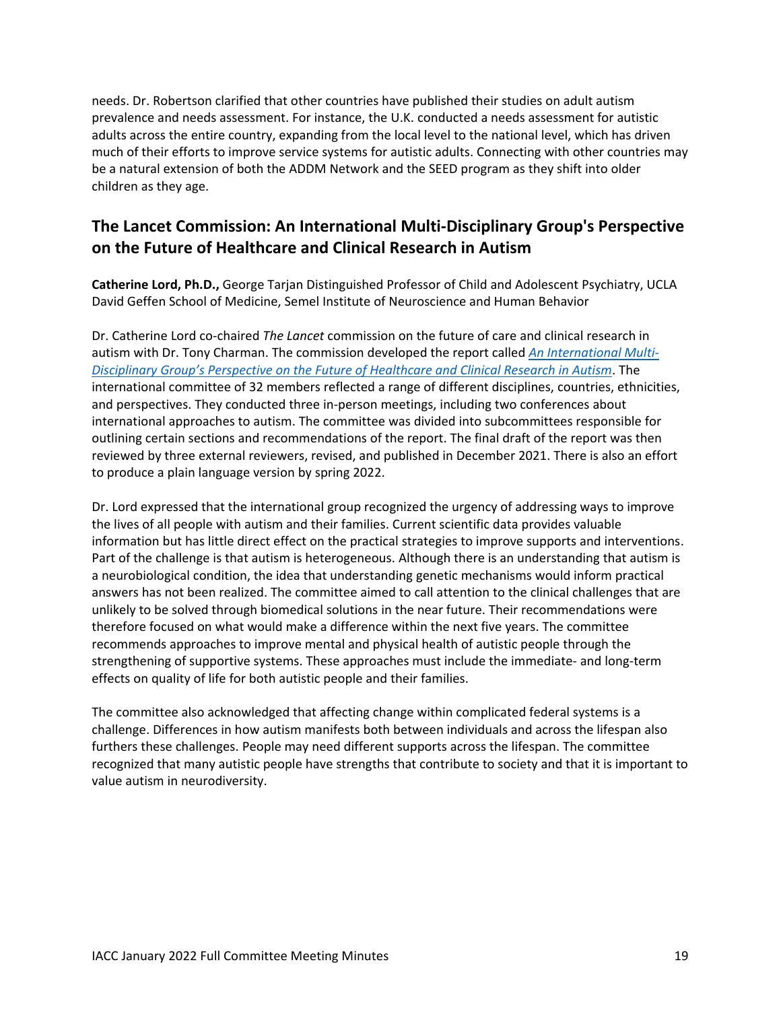needs. Dr. Robertson clarified that other countries have published their studies on adult autism prevalence and needs assessment. For instance, the U.K. conducted a needs assessment for autistic adults across the entire country, expanding from the local level to the national level, which has driven much of their efforts to improve service systems for autistic adults. Connecting with other countries may be a natural extension of both the ADDM Network and the SEED program as they shift into older children as they age.

# **The Lancet Commission: An International Multi-Disciplinary Group's Perspective on the Future of Healthcare and Clinical Research in Autism**

**Catherine Lord, Ph.D.,** George Tarjan Distinguished Professor of Child and Adolescent Psychiatry, UCLA David Geffen School of Medicine, Semel Institute of Neuroscience and Human Behavior

Dr. Catherine Lord co-chaired *The Lancet* commission on the future of care and clinical research in autism with Dr. Tony Charman. The commission developed the report called *[An International Multi-](https://www.thelancet.com/pdfs/journals/lancet/PIIS0140-6736(21)01541-5.pdf)[Disciplinary Group's Perspective on the Future of Healthcare and Clinical Research in Autism](https://www.thelancet.com/pdfs/journals/lancet/PIIS0140-6736(21)01541-5.pdf)*. The international committee of 32 members reflected a range of different disciplines, countries, ethnicities, and perspectives. They conducted three in-person meetings, including two conferences about international approaches to autism. The committee was divided into subcommittees responsible for outlining certain sections and recommendations of the report. The final draft of the report was then reviewed by three external reviewers, revised, and published in December 2021. There is also an effort to produce a plain language version by spring 2022.

Dr. Lord expressed that the international group recognized the urgency of addressing ways to improve the lives of all people with autism and their families. Current scientific data provides valuable information but has little direct effect on the practical strategies to improve supports and interventions. Part of the challenge is that autism is heterogeneous. Although there is an understanding that autism is a neurobiological condition, the idea that understanding genetic mechanisms would inform practical answers has not been realized. The committee aimed to call attention to the clinical challenges that are unlikely to be solved through biomedical solutions in the near future. Their recommendations were therefore focused on what would make a difference within the next five years. The committee recommends approaches to improve mental and physical health of autistic people through the strengthening of supportive systems. These approaches must include the immediate- and long-term effects on quality of life for both autistic people and their families.

The committee also acknowledged that affecting change within complicated federal systems is a challenge. Differences in how autism manifests both between individuals and across the lifespan also furthers these challenges. People may need different supports across the lifespan. The committee recognized that many autistic people have strengths that contribute to society and that it is important to value autism in neurodiversity.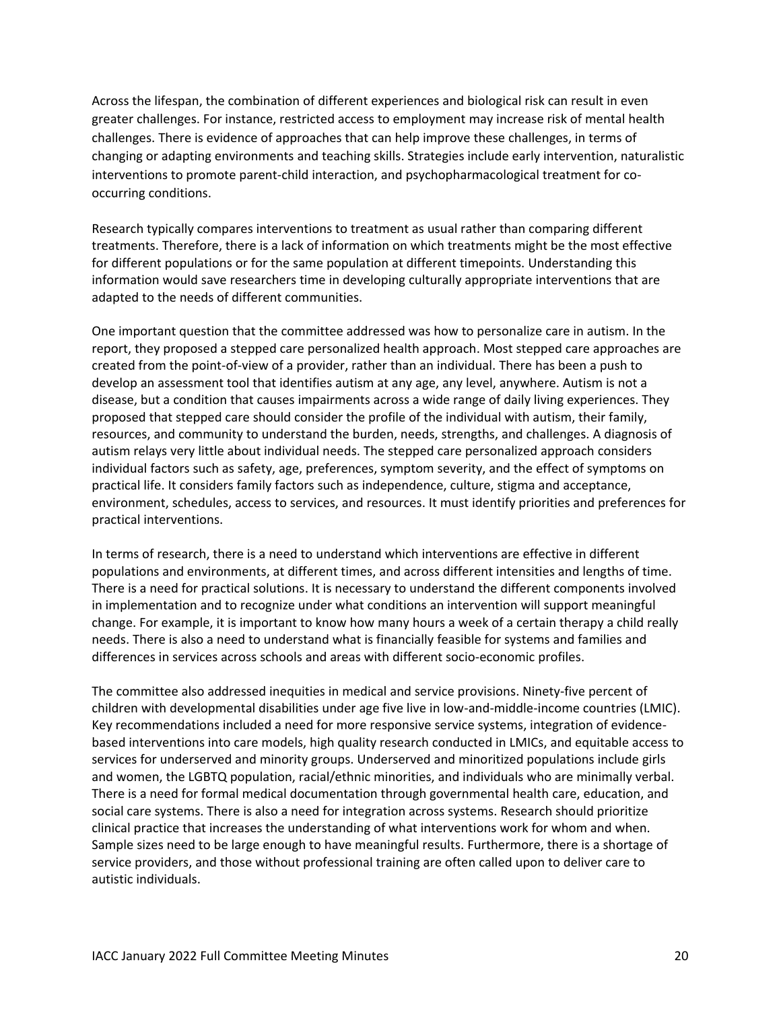Across the lifespan, the combination of different experiences and biological risk can result in even greater challenges. For instance, restricted access to employment may increase risk of mental health challenges. There is evidence of approaches that can help improve these challenges, in terms of changing or adapting environments and teaching skills. Strategies include early intervention, naturalistic interventions to promote parent-child interaction, and psychopharmacological treatment for cooccurring conditions.

Research typically compares interventions to treatment as usual rather than comparing different treatments. Therefore, there is a lack of information on which treatments might be the most effective for different populations or for the same population at different timepoints. Understanding this information would save researchers time in developing culturally appropriate interventions that are adapted to the needs of different communities.

One important question that the committee addressed was how to personalize care in autism. In the report, they proposed a stepped care personalized health approach. Most stepped care approaches are created from the point-of-view of a provider, rather than an individual. There has been a push to develop an assessment tool that identifies autism at any age, any level, anywhere. Autism is not a disease, but a condition that causes impairments across a wide range of daily living experiences. They proposed that stepped care should consider the profile of the individual with autism, their family, resources, and community to understand the burden, needs, strengths, and challenges. A diagnosis of autism relays very little about individual needs. The stepped care personalized approach considers individual factors such as safety, age, preferences, symptom severity, and the effect of symptoms on practical life. It considers family factors such as independence, culture, stigma and acceptance, environment, schedules, access to services, and resources. It must identify priorities and preferences for practical interventions.

In terms of research, there is a need to understand which interventions are effective in different populations and environments, at different times, and across different intensities and lengths of time. There is a need for practical solutions. It is necessary to understand the different components involved in implementation and to recognize under what conditions an intervention will support meaningful change. For example, it is important to know how many hours a week of a certain therapy a child really needs. There is also a need to understand what is financially feasible for systems and families and differences in services across schools and areas with different socio-economic profiles.

The committee also addressed inequities in medical and service provisions. Ninety-five percent of children with developmental disabilities under age five live in low-and-middle-income countries (LMIC). Key recommendations included a need for more responsive service systems, integration of evidencebased interventions into care models, high quality research conducted in LMICs, and equitable access to services for underserved and minority groups. Underserved and minoritized populations include girls and women, the LGBTQ population, racial/ethnic minorities, and individuals who are minimally verbal. There is a need for formal medical documentation through governmental health care, education, and social care systems. There is also a need for integration across systems. Research should prioritize clinical practice that increases the understanding of what interventions work for whom and when. Sample sizes need to be large enough to have meaningful results. Furthermore, there is a shortage of service providers, and those without professional training are often called upon to deliver care to autistic individuals.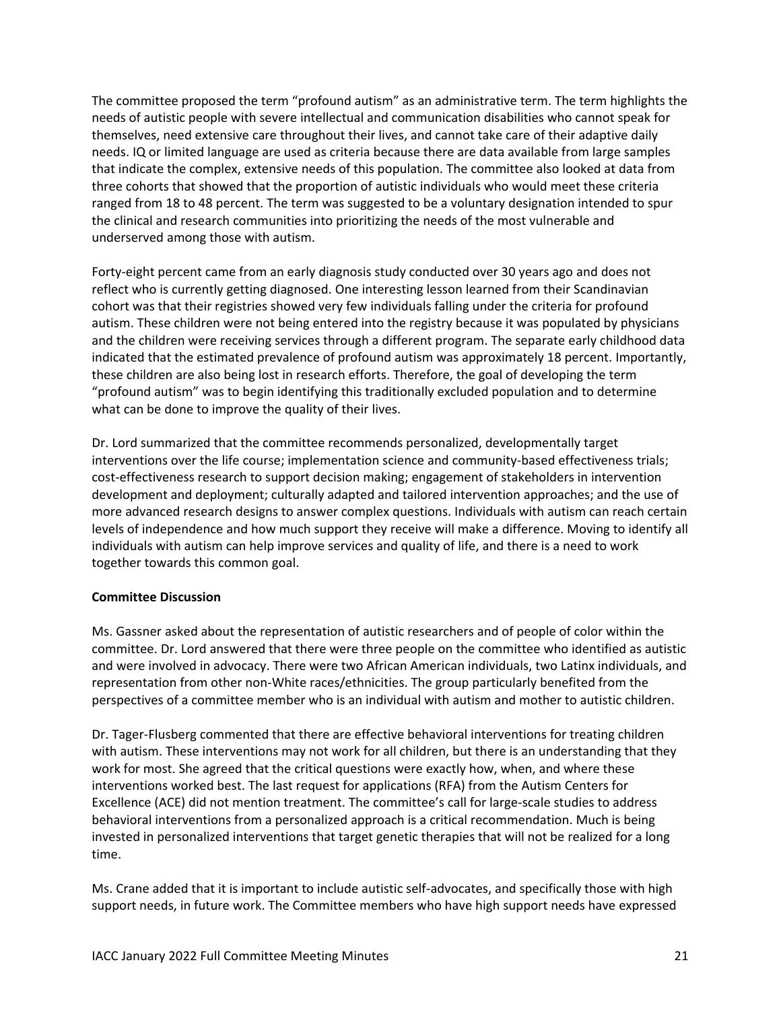The committee proposed the term "profound autism" as an administrative term. The term highlights the needs of autistic people with severe intellectual and communication disabilities who cannot speak for themselves, need extensive care throughout their lives, and cannot take care of their adaptive daily needs. IQ or limited language are used as criteria because there are data available from large samples that indicate the complex, extensive needs of this population. The committee also looked at data from three cohorts that showed that the proportion of autistic individuals who would meet these criteria ranged from 18 to 48 percent. The term was suggested to be a voluntary designation intended to spur the clinical and research communities into prioritizing the needs of the most vulnerable and underserved among those with autism.

Forty-eight percent came from an early diagnosis study conducted over 30 years ago and does not reflect who is currently getting diagnosed. One interesting lesson learned from their Scandinavian cohort was that their registries showed very few individuals falling under the criteria for profound autism. These children were not being entered into the registry because it was populated by physicians and the children were receiving services through a different program. The separate early childhood data indicated that the estimated prevalence of profound autism was approximately 18 percent. Importantly, these children are also being lost in research efforts. Therefore, the goal of developing the term "profound autism" was to begin identifying this traditionally excluded population and to determine what can be done to improve the quality of their lives.

Dr. Lord summarized that the committee recommends personalized, developmentally target interventions over the life course; implementation science and community-based effectiveness trials; cost-effectiveness research to support decision making; engagement of stakeholders in intervention development and deployment; culturally adapted and tailored intervention approaches; and the use of more advanced research designs to answer complex questions. Individuals with autism can reach certain levels of independence and how much support they receive will make a difference. Moving to identify all individuals with autism can help improve services and quality of life, and there is a need to work together towards this common goal.

### **Committee Discussion**

Ms. Gassner asked about the representation of autistic researchers and of people of color within the committee. Dr. Lord answered that there were three people on the committee who identified as autistic and were involved in advocacy. There were two African American individuals, two Latinx individuals, and representation from other non-White races/ethnicities. The group particularly benefited from the perspectives of a committee member who is an individual with autism and mother to autistic children.

Dr. Tager-Flusberg commented that there are effective behavioral interventions for treating children with autism. These interventions may not work for all children, but there is an understanding that they work for most. She agreed that the critical questions were exactly how, when, and where these interventions worked best. The last request for applications (RFA) from the Autism Centers for Excellence (ACE) did not mention treatment. The committee's call for large-scale studies to address behavioral interventions from a personalized approach is a critical recommendation. Much is being invested in personalized interventions that target genetic therapies that will not be realized for a long time.

Ms. Crane added that it is important to include autistic self-advocates, and specifically those with high support needs, in future work. The Committee members who have high support needs have expressed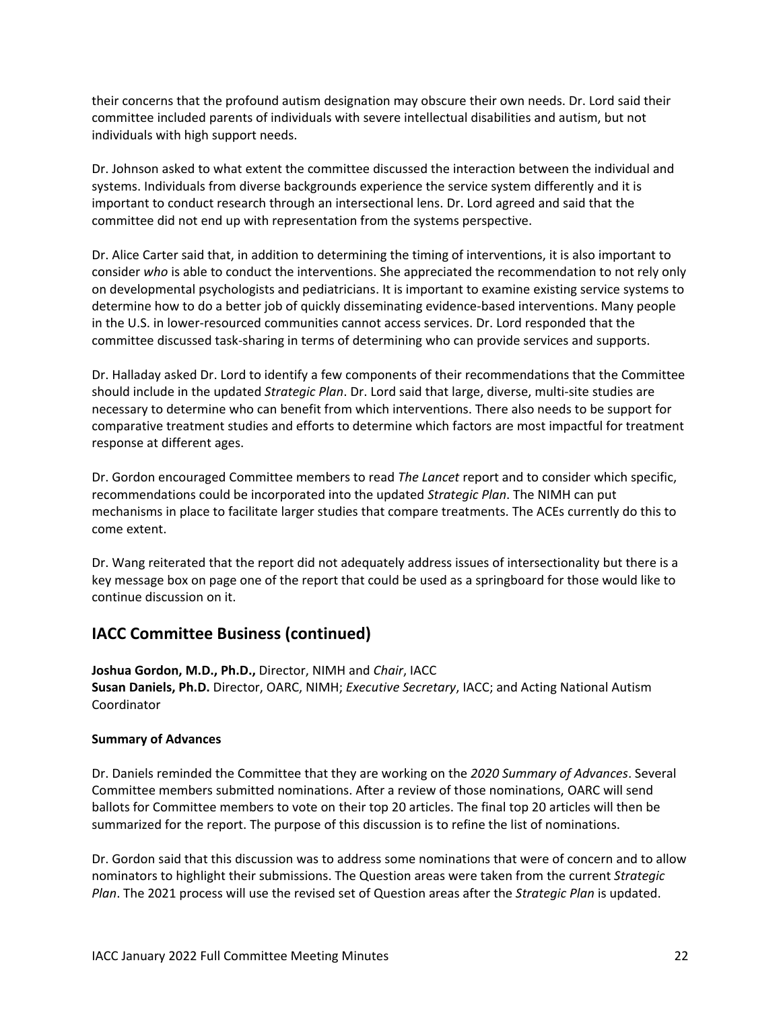their concerns that the profound autism designation may obscure their own needs. Dr. Lord said their committee included parents of individuals with severe intellectual disabilities and autism, but not individuals with high support needs.

Dr. Johnson asked to what extent the committee discussed the interaction between the individual and systems. Individuals from diverse backgrounds experience the service system differently and it is important to conduct research through an intersectional lens. Dr. Lord agreed and said that the committee did not end up with representation from the systems perspective.

Dr. Alice Carter said that, in addition to determining the timing of interventions, it is also important to consider *who* is able to conduct the interventions. She appreciated the recommendation to not rely only on developmental psychologists and pediatricians. It is important to examine existing service systems to determine how to do a better job of quickly disseminating evidence-based interventions. Many people in the U.S. in lower-resourced communities cannot access services. Dr. Lord responded that the committee discussed task-sharing in terms of determining who can provide services and supports.

Dr. Halladay asked Dr. Lord to identify a few components of their recommendations that the Committee should include in the updated *Strategic Plan*. Dr. Lord said that large, diverse, multi-site studies are necessary to determine who can benefit from which interventions. There also needs to be support for comparative treatment studies and efforts to determine which factors are most impactful for treatment response at different ages.

Dr. Gordon encouraged Committee members to read *The Lancet* report and to consider which specific, recommendations could be incorporated into the updated *Strategic Plan*. The NIMH can put mechanisms in place to facilitate larger studies that compare treatments. The ACEs currently do this to come extent.

Dr. Wang reiterated that the report did not adequately address issues of intersectionality but there is a key message box on page one of the report that could be used as a springboard for those would like to continue discussion on it.

## **IACC Committee Business (continued)**

**Joshua Gordon, M.D., Ph.D.,** Director, NIMH and *Chair*, IACC **Susan Daniels, Ph.D.** Director, OARC, NIMH; *Executive Secretary*, IACC; and Acting National Autism Coordinator

### **Summary of Advances**

Dr. Daniels reminded the Committee that they are working on the *2020 Summary of Advances*. Several Committee members submitted nominations. After a review of those nominations, OARC will send ballots for Committee members to vote on their top 20 articles. The final top 20 articles will then be summarized for the report. The purpose of this discussion is to refine the list of nominations.

Dr. Gordon said that this discussion was to address some nominations that were of concern and to allow nominators to highlight their submissions. The Question areas were taken from the current *Strategic Plan*. The 2021 process will use the revised set of Question areas after the *Strategic Plan* is updated.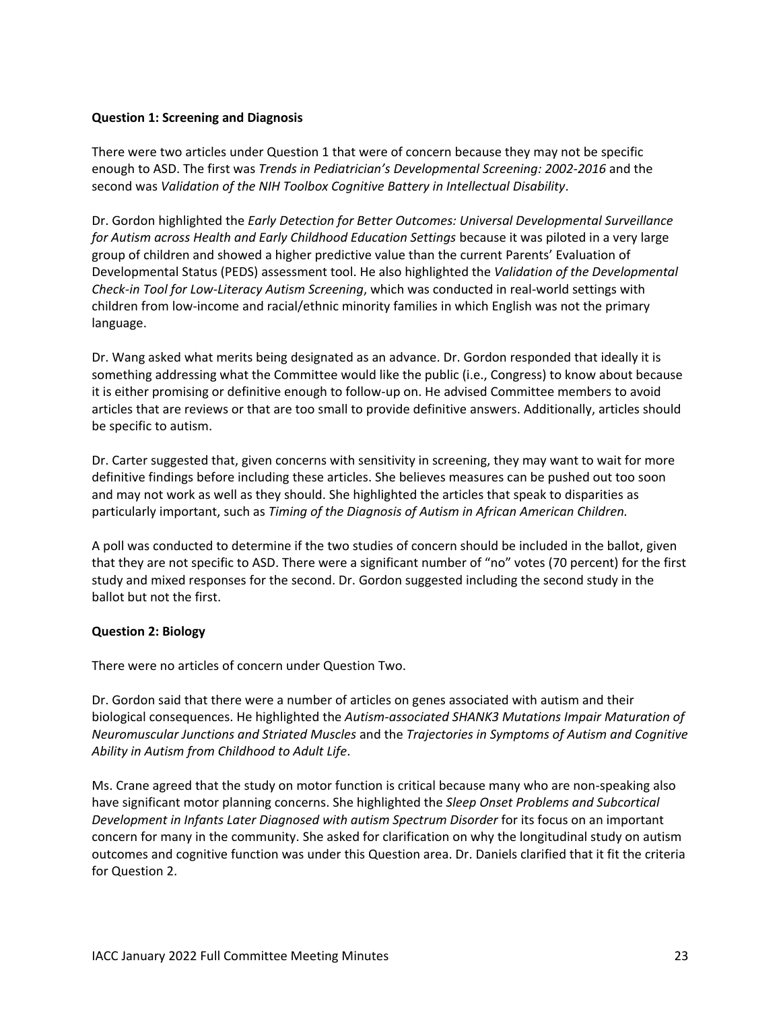#### **Question 1: Screening and Diagnosis**

There were two articles under Question 1 that were of concern because they may not be specific enough to ASD. The first was *Trends in Pediatrician's Developmental Screening: 2002-2016* and the second was *Validation of the NIH Toolbox Cognitive Battery in Intellectual Disability*.

Dr. Gordon highlighted the *Early Detection for Better Outcomes: Universal Developmental Surveillance for Autism across Health and Early Childhood Education Settings* because it was piloted in a very large group of children and showed a higher predictive value than the current Parents' Evaluation of Developmental Status (PEDS) assessment tool. He also highlighted the *Validation of the Developmental Check-in Tool for Low-Literacy Autism Screening*, which was conducted in real-world settings with children from low-income and racial/ethnic minority families in which English was not the primary language.

Dr. Wang asked what merits being designated as an advance. Dr. Gordon responded that ideally it is something addressing what the Committee would like the public (i.e., Congress) to know about because it is either promising or definitive enough to follow-up on. He advised Committee members to avoid articles that are reviews or that are too small to provide definitive answers. Additionally, articles should be specific to autism.

Dr. Carter suggested that, given concerns with sensitivity in screening, they may want to wait for more definitive findings before including these articles. She believes measures can be pushed out too soon and may not work as well as they should. She highlighted the articles that speak to disparities as particularly important, such as *Timing of the Diagnosis of Autism in African American Children.*

A poll was conducted to determine if the two studies of concern should be included in the ballot, given that they are not specific to ASD. There were a significant number of "no" votes (70 percent) for the first study and mixed responses for the second. Dr. Gordon suggested including the second study in the ballot but not the first.

### **Question 2: Biology**

There were no articles of concern under Question Two.

Dr. Gordon said that there were a number of articles on genes associated with autism and their biological consequences. He highlighted the *Autism-associated SHANK3 Mutations Impair Maturation of Neuromuscular Junctions and Striated Muscles* and the *Trajectories in Symptoms of Autism and Cognitive Ability in Autism from Childhood to Adult Life*.

Ms. Crane agreed that the study on motor function is critical because many who are non-speaking also have significant motor planning concerns. She highlighted the *Sleep Onset Problems and Subcortical Development in Infants Later Diagnosed with autism Spectrum Disorder* for its focus on an important concern for many in the community. She asked for clarification on why the longitudinal study on autism outcomes and cognitive function was under this Question area. Dr. Daniels clarified that it fit the criteria for Question 2.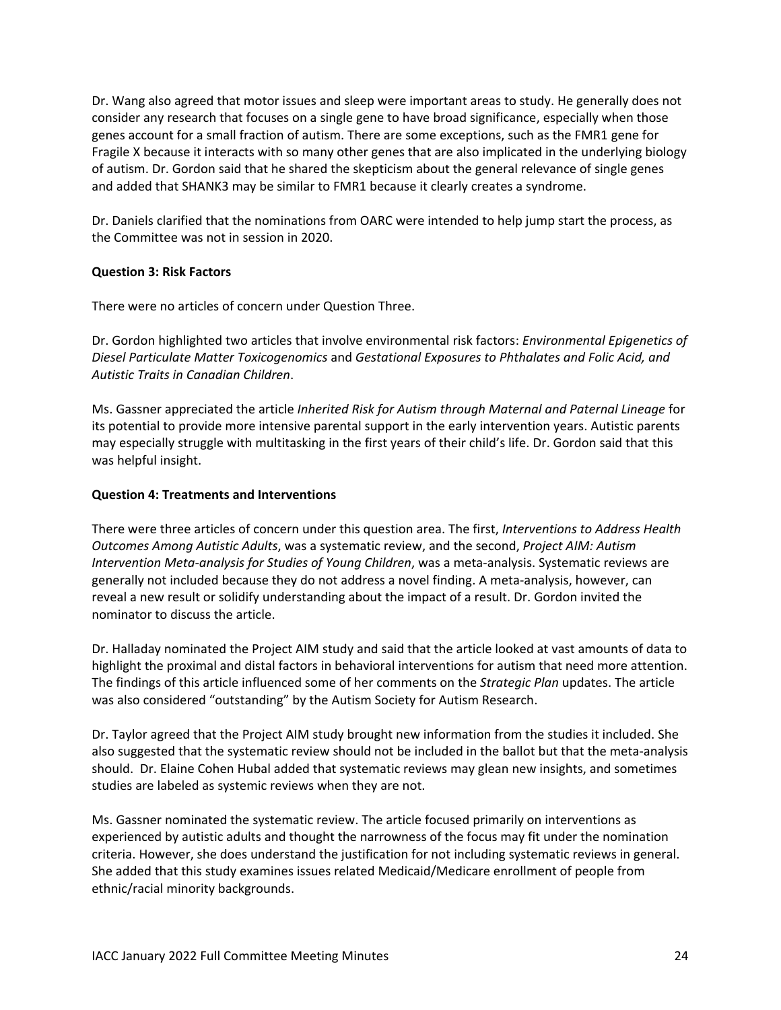Dr. Wang also agreed that motor issues and sleep were important areas to study. He generally does not consider any research that focuses on a single gene to have broad significance, especially when those genes account for a small fraction of autism. There are some exceptions, such as the FMR1 gene for Fragile X because it interacts with so many other genes that are also implicated in the underlying biology of autism. Dr. Gordon said that he shared the skepticism about the general relevance of single genes and added that SHANK3 may be similar to FMR1 because it clearly creates a syndrome.

Dr. Daniels clarified that the nominations from OARC were intended to help jump start the process, as the Committee was not in session in 2020.

## **Question 3: Risk Factors**

There were no articles of concern under Question Three.

Dr. Gordon highlighted two articles that involve environmental risk factors: *Environmental Epigenetics of Diesel Particulate Matter Toxicogenomics* and *Gestational Exposures to Phthalates and Folic Acid, and Autistic Traits in Canadian Children*.

Ms. Gassner appreciated the article *Inherited Risk for Autism through Maternal and Paternal Lineage* for its potential to provide more intensive parental support in the early intervention years. Autistic parents may especially struggle with multitasking in the first years of their child's life. Dr. Gordon said that this was helpful insight.

## **Question 4: Treatments and Interventions**

There were three articles of concern under this question area. The first, *Interventions to Address Health Outcomes Among Autistic Adults*, was a systematic review, and the second, *Project AIM: Autism Intervention Meta-analysis for Studies of Young Children*, was a meta-analysis. Systematic reviews are generally not included because they do not address a novel finding. A meta-analysis, however, can reveal a new result or solidify understanding about the impact of a result. Dr. Gordon invited the nominator to discuss the article.

Dr. Halladay nominated the Project AIM study and said that the article looked at vast amounts of data to highlight the proximal and distal factors in behavioral interventions for autism that need more attention. The findings of this article influenced some of her comments on the *Strategic Plan* updates. The article was also considered "outstanding" by the Autism Society for Autism Research.

Dr. Taylor agreed that the Project AIM study brought new information from the studies it included. She also suggested that the systematic review should not be included in the ballot but that the meta-analysis should. Dr. Elaine Cohen Hubal added that systematic reviews may glean new insights, and sometimes studies are labeled as systemic reviews when they are not.

Ms. Gassner nominated the systematic review. The article focused primarily on interventions as experienced by autistic adults and thought the narrowness of the focus may fit under the nomination criteria. However, she does understand the justification for not including systematic reviews in general. She added that this study examines issues related Medicaid/Medicare enrollment of people from ethnic/racial minority backgrounds.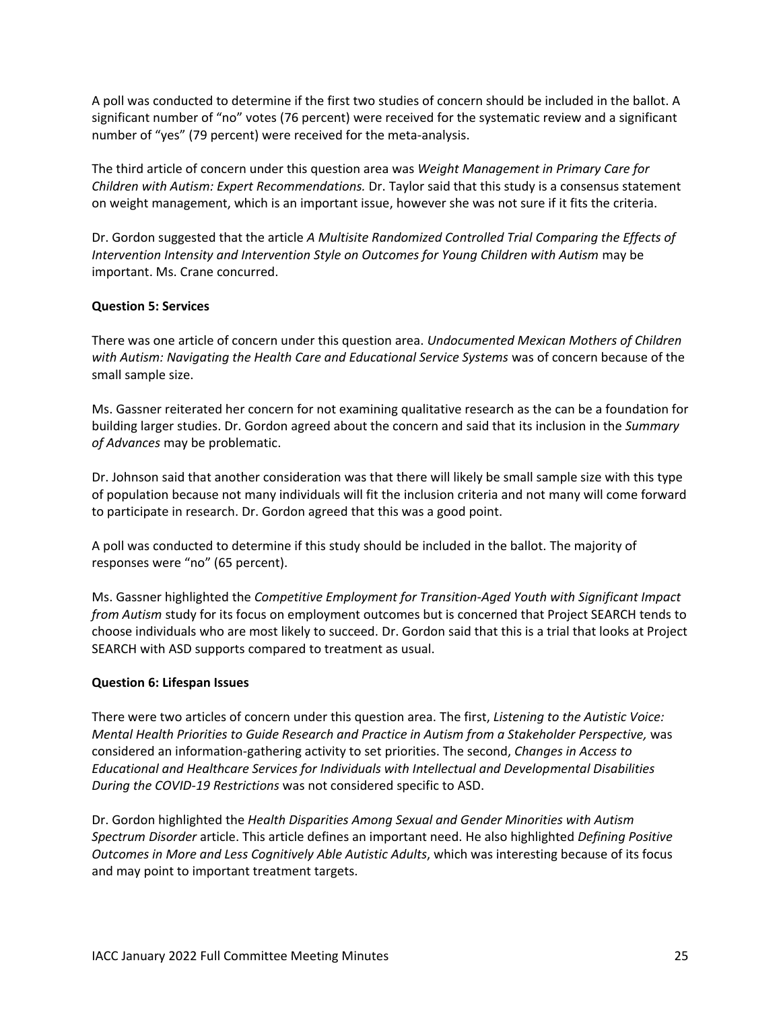A poll was conducted to determine if the first two studies of concern should be included in the ballot. A significant number of "no" votes (76 percent) were received for the systematic review and a significant number of "yes" (79 percent) were received for the meta-analysis.

The third article of concern under this question area was *Weight Management in Primary Care for Children with Autism: Expert Recommendations.* Dr. Taylor said that this study is a consensus statement on weight management, which is an important issue, however she was not sure if it fits the criteria.

Dr. Gordon suggested that the article *A Multisite Randomized Controlled Trial Comparing the Effects of Intervention Intensity and Intervention Style on Outcomes for Young Children with Autism* may be important. Ms. Crane concurred.

### **Question 5: Services**

There was one article of concern under this question area. *Undocumented Mexican Mothers of Children with Autism: Navigating the Health Care and Educational Service Systems* was of concern because of the small sample size.

Ms. Gassner reiterated her concern for not examining qualitative research as the can be a foundation for building larger studies. Dr. Gordon agreed about the concern and said that its inclusion in the *Summary of Advances* may be problematic.

Dr. Johnson said that another consideration was that there will likely be small sample size with this type of population because not many individuals will fit the inclusion criteria and not many will come forward to participate in research. Dr. Gordon agreed that this was a good point.

A poll was conducted to determine if this study should be included in the ballot. The majority of responses were "no" (65 percent).

Ms. Gassner highlighted the *Competitive Employment for Transition-Aged Youth with Significant Impact from Autism* study for its focus on employment outcomes but is concerned that Project SEARCH tends to choose individuals who are most likely to succeed. Dr. Gordon said that this is a trial that looks at Project SEARCH with ASD supports compared to treatment as usual.

#### **Question 6: Lifespan Issues**

There were two articles of concern under this question area. The first, *Listening to the Autistic Voice: Mental Health Priorities to Guide Research and Practice in Autism from a Stakeholder Perspective,* was considered an information-gathering activity to set priorities. The second, *Changes in Access to Educational and Healthcare Services for Individuals with Intellectual and Developmental Disabilities During the COVID-19 Restrictions* was not considered specific to ASD.

Dr. Gordon highlighted the *Health Disparities Among Sexual and Gender Minorities with Autism Spectrum Disorder* article. This article defines an important need. He also highlighted *Defining Positive Outcomes in More and Less Cognitively Able Autistic Adults*, which was interesting because of its focus and may point to important treatment targets.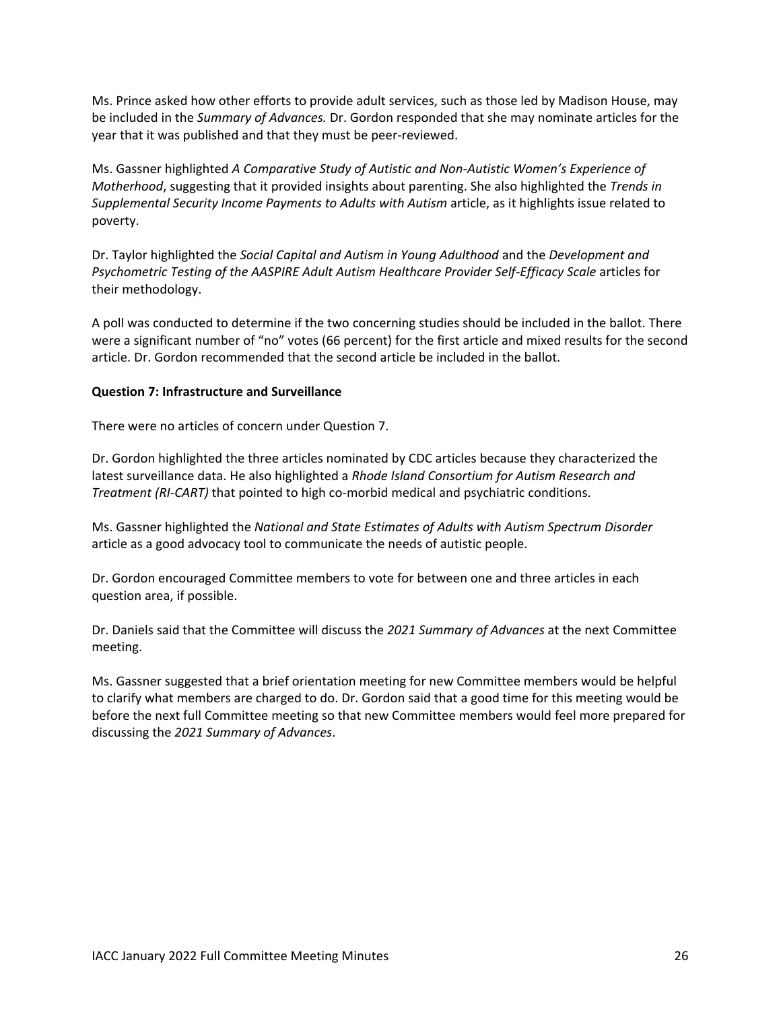Ms. Prince asked how other efforts to provide adult services, such as those led by Madison House, may be included in the *Summary of Advances.* Dr. Gordon responded that she may nominate articles for the year that it was published and that they must be peer-reviewed.

Ms. Gassner highlighted *A Comparative Study of Autistic and Non-Autistic Women's Experience of Motherhood*, suggesting that it provided insights about parenting. She also highlighted the *Trends in Supplemental Security Income Payments to Adults with Autism* article, as it highlights issue related to poverty.

Dr. Taylor highlighted the *Social Capital and Autism in Young Adulthood* and the *Development and Psychometric Testing of the AASPIRE Adult Autism Healthcare Provider Self-Efficacy Scale* articles for their methodology.

A poll was conducted to determine if the two concerning studies should be included in the ballot. There were a significant number of "no" votes (66 percent) for the first article and mixed results for the second article. Dr. Gordon recommended that the second article be included in the ballot.

#### **Question 7: Infrastructure and Surveillance**

There were no articles of concern under Question 7.

Dr. Gordon highlighted the three articles nominated by CDC articles because they characterized the latest surveillance data. He also highlighted a *Rhode Island Consortium for Autism Research and Treatment (RI-CART)* that pointed to high co-morbid medical and psychiatric conditions.

Ms. Gassner highlighted the *National and State Estimates of Adults with Autism Spectrum Disorder* article as a good advocacy tool to communicate the needs of autistic people.

Dr. Gordon encouraged Committee members to vote for between one and three articles in each question area, if possible.

Dr. Daniels said that the Committee will discuss the *2021 Summary of Advances* at the next Committee meeting.

Ms. Gassner suggested that a brief orientation meeting for new Committee members would be helpful to clarify what members are charged to do. Dr. Gordon said that a good time for this meeting would be before the next full Committee meeting so that new Committee members would feel more prepared for discussing the *2021 Summary of Advances*.